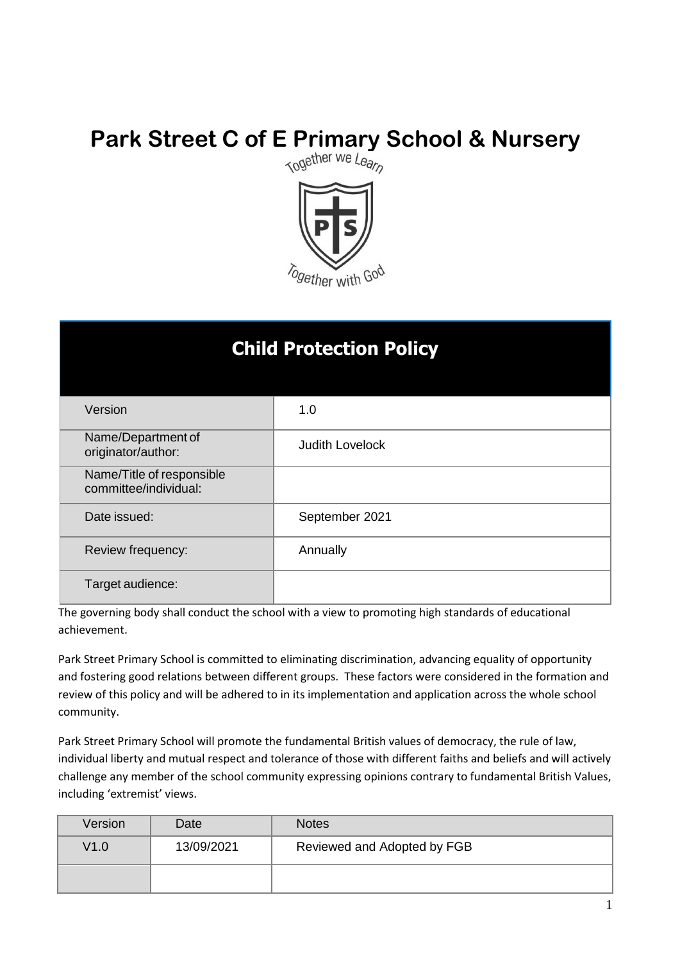# **Park Street C of E Primary School & Nursery**<br> **Nursery**



### **Child Protection Policy**

| Version                                            | 1.0                    |
|----------------------------------------------------|------------------------|
| Name/Department of<br>originator/author:           | <b>Judith Lovelock</b> |
| Name/Title of responsible<br>committee/individual: |                        |
| Date issued:                                       | September 2021         |
| Review frequency:                                  | Annually               |
| Target audience:                                   |                        |

The governing body shall conduct the school with a view to promoting high standards of educational achievement.

Park Street Primary School is committed to eliminating discrimination, advancing equality of opportunity and fostering good relations between different groups. These factors were considered in the formation and review of this policy and will be adhered to in its implementation and application across the whole school community.

Park Street Primary School will promote the fundamental British values of democracy, the rule of law, individual liberty and mutual respect and tolerance of those with different faiths and beliefs and will actively challenge any member of the school community expressing opinions contrary to fundamental British Values, including 'extremist' views.

| Version | Date       | <b>Notes</b>                |
|---------|------------|-----------------------------|
| V1.0    | 13/09/2021 | Reviewed and Adopted by FGB |
|         |            |                             |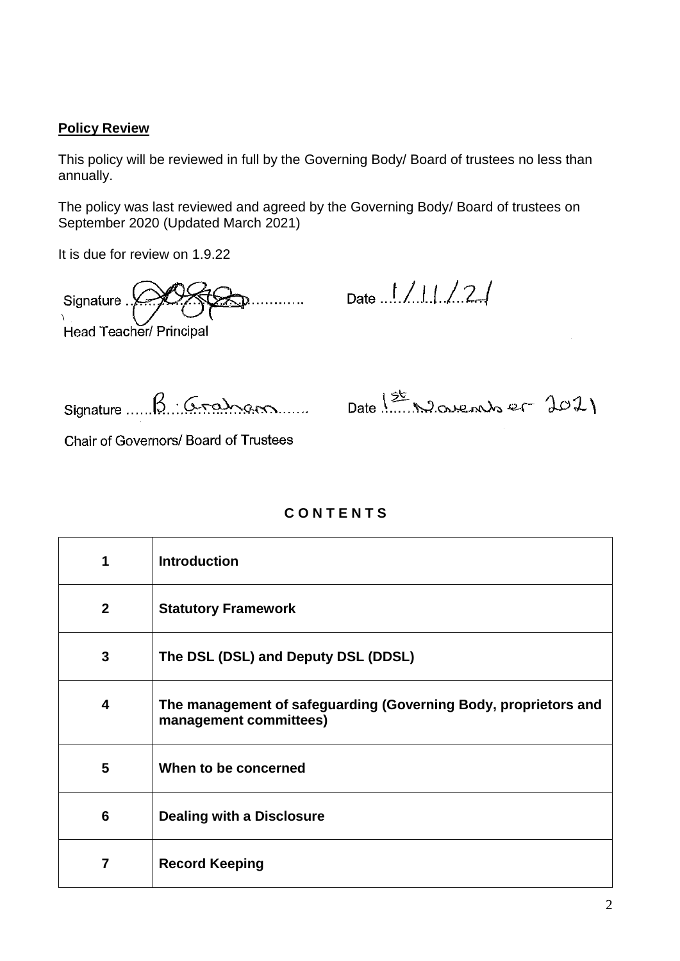#### **Policy Review**

This policy will be reviewed in full by the Governing Body/ Board of trustees no less than annually.

The policy was last reviewed and agreed by the Governing Body/ Board of trustees on September 2020 (Updated March 2021)

It is due for review on 1.9.22

Signature . . . . . . . . . Head Teacher/ Principal

Date ..! / 1 | / 2 |

Signature ....

B. Graham Date 1st November 2021

Chair of Governors/ Board of Trustees

#### **C O N T E N T S**

| 1                       | <b>Introduction</b>                                                                       |
|-------------------------|-------------------------------------------------------------------------------------------|
| $\mathbf{2}$            | <b>Statutory Framework</b>                                                                |
| 3                       | The DSL (DSL) and Deputy DSL (DDSL)                                                       |
| 4                       | The management of safeguarding (Governing Body, proprietors and<br>management committees) |
| $\overline{\mathbf{5}}$ | When to be concerned                                                                      |
| 6                       | <b>Dealing with a Disclosure</b>                                                          |
| $\overline{7}$          | <b>Record Keeping</b>                                                                     |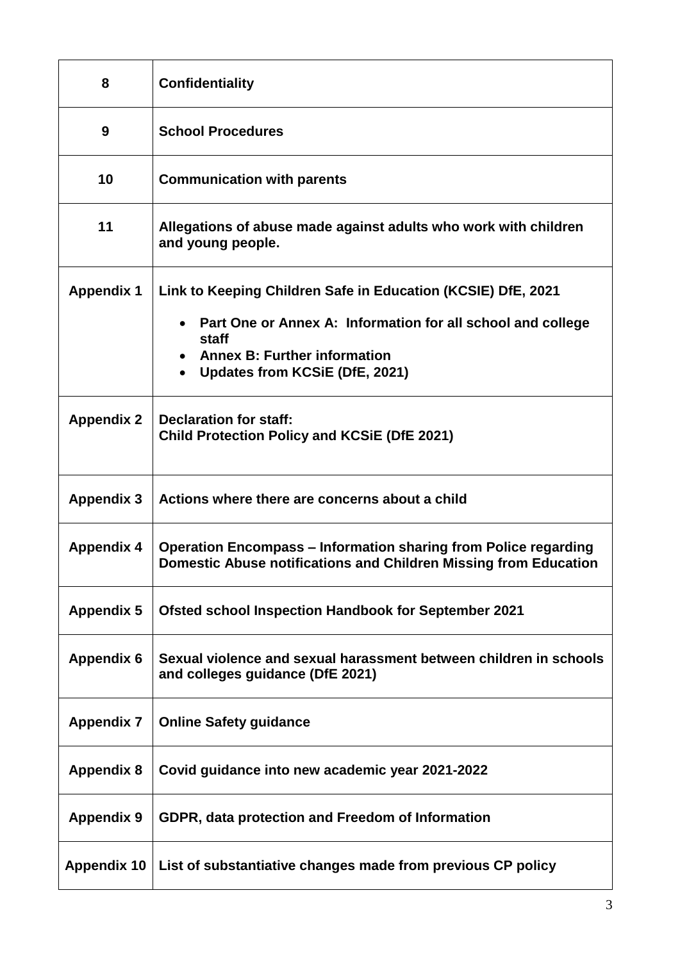| 8                  | <b>Confidentiality</b>                                                                                                                                                                                        |
|--------------------|---------------------------------------------------------------------------------------------------------------------------------------------------------------------------------------------------------------|
| 9                  | <b>School Procedures</b>                                                                                                                                                                                      |
| 10                 | <b>Communication with parents</b>                                                                                                                                                                             |
| 11                 | Allegations of abuse made against adults who work with children<br>and young people.                                                                                                                          |
| <b>Appendix 1</b>  | Link to Keeping Children Safe in Education (KCSIE) DfE, 2021<br>Part One or Annex A: Information for all school and college<br>staff<br><b>Annex B: Further information</b><br>Updates from KCSiE (DfE, 2021) |
| <b>Appendix 2</b>  | <b>Declaration for staff:</b><br><b>Child Protection Policy and KCSIE (DfE 2021)</b>                                                                                                                          |
| <b>Appendix 3</b>  | Actions where there are concerns about a child                                                                                                                                                                |
| <b>Appendix 4</b>  | <b>Operation Encompass – Information sharing from Police regarding</b><br>Domestic Abuse notifications and Children Missing from Education                                                                    |
| <b>Appendix 5</b>  | <b>Ofsted school Inspection Handbook for September 2021</b>                                                                                                                                                   |
| <b>Appendix 6</b>  | Sexual violence and sexual harassment between children in schools<br>and colleges guidance (DfE 2021)                                                                                                         |
| <b>Appendix 7</b>  | <b>Online Safety guidance</b>                                                                                                                                                                                 |
| <b>Appendix 8</b>  | Covid guidance into new academic year 2021-2022                                                                                                                                                               |
| <b>Appendix 9</b>  | GDPR, data protection and Freedom of Information                                                                                                                                                              |
| <b>Appendix 10</b> | List of substantiative changes made from previous CP policy                                                                                                                                                   |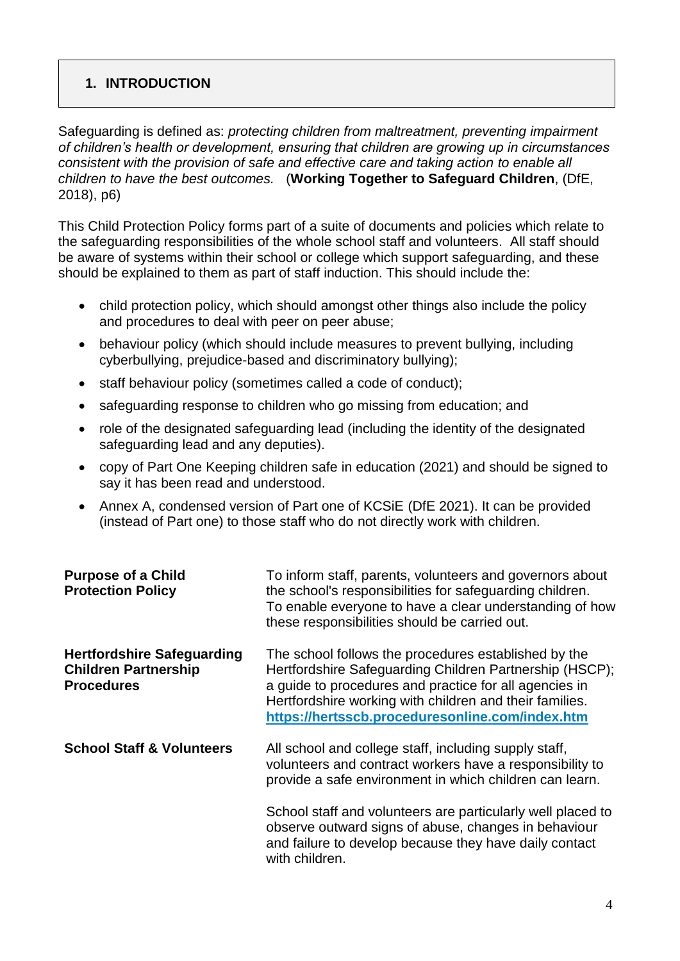#### **1. INTRODUCTION**

Safeguarding is defined as: *protecting children from maltreatment, preventing impairment of children's health or development, ensuring that children are growing up in circumstances consistent with the provision of safe and effective care and taking action to enable all children to have the best outcomes.* (**Working Together to Safeguard Children**, (DfE, 2018), p6)

This Child Protection Policy forms part of a suite of documents and policies which relate to the safeguarding responsibilities of the whole school staff and volunteers. All staff should be aware of systems within their school or college which support safeguarding, and these should be explained to them as part of staff induction. This should include the:

- child protection policy, which should amongst other things also include the policy and procedures to deal with peer on peer abuse;
- behaviour policy (which should include measures to prevent bullying, including cyberbullying, prejudice-based and discriminatory bullying);
- staff behaviour policy (sometimes called a code of conduct);
- safeguarding response to children who go missing from education; and
- role of the designated safeguarding lead (including the identity of the designated safeguarding lead and any deputies).
- copy of Part One Keeping children safe in education (2021) and should be signed to say it has been read and understood.
- Annex A, condensed version of Part one of KCSiE (DfE 2021). It can be provided (instead of Part one) to those staff who do not directly work with children.

| <b>Purpose of a Child</b><br><b>Protection Policy</b>                                 | To inform staff, parents, volunteers and governors about<br>the school's responsibilities for safeguarding children.<br>To enable everyone to have a clear understanding of how<br>these responsibilities should be carried out.                                                        |
|---------------------------------------------------------------------------------------|-----------------------------------------------------------------------------------------------------------------------------------------------------------------------------------------------------------------------------------------------------------------------------------------|
| <b>Hertfordshire Safeguarding</b><br><b>Children Partnership</b><br><b>Procedures</b> | The school follows the procedures established by the<br>Hertfordshire Safeguarding Children Partnership (HSCP);<br>a guide to procedures and practice for all agencies in<br>Hertfordshire working with children and their families.<br>https://hertsscb.proceduresonline.com/index.htm |
| <b>School Staff &amp; Volunteers</b>                                                  | All school and college staff, including supply staff,<br>volunteers and contract workers have a responsibility to<br>provide a safe environment in which children can learn.                                                                                                            |
|                                                                                       | School staff and volunteers are particularly well placed to<br>observe outward signs of abuse, changes in behaviour<br>and failure to develop because they have daily contact<br>with children.                                                                                         |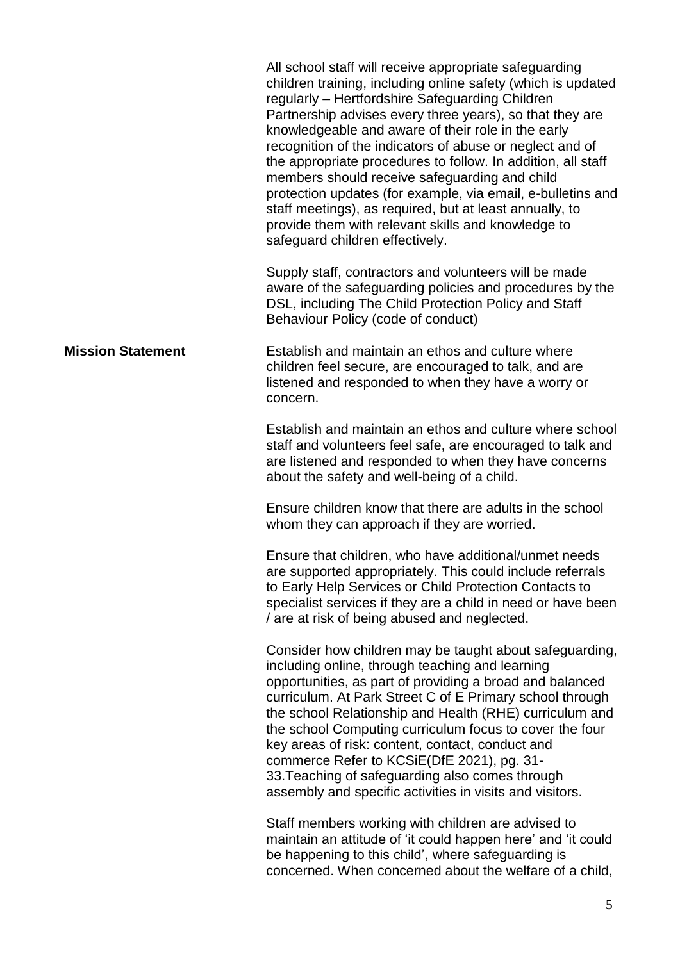|                          | All school staff will receive appropriate safeguarding<br>children training, including online safety (which is updated<br>regularly - Hertfordshire Safeguarding Children<br>Partnership advises every three years), so that they are<br>knowledgeable and aware of their role in the early<br>recognition of the indicators of abuse or neglect and of<br>the appropriate procedures to follow. In addition, all staff<br>members should receive safeguarding and child<br>protection updates (for example, via email, e-bulletins and<br>staff meetings), as required, but at least annually, to<br>provide them with relevant skills and knowledge to<br>safeguard children effectively. |
|--------------------------|---------------------------------------------------------------------------------------------------------------------------------------------------------------------------------------------------------------------------------------------------------------------------------------------------------------------------------------------------------------------------------------------------------------------------------------------------------------------------------------------------------------------------------------------------------------------------------------------------------------------------------------------------------------------------------------------|
|                          | Supply staff, contractors and volunteers will be made<br>aware of the safeguarding policies and procedures by the<br>DSL, including The Child Protection Policy and Staff<br>Behaviour Policy (code of conduct)                                                                                                                                                                                                                                                                                                                                                                                                                                                                             |
| <b>Mission Statement</b> | Establish and maintain an ethos and culture where<br>children feel secure, are encouraged to talk, and are<br>listened and responded to when they have a worry or<br>concern.                                                                                                                                                                                                                                                                                                                                                                                                                                                                                                               |
|                          | Establish and maintain an ethos and culture where school<br>staff and volunteers feel safe, are encouraged to talk and<br>are listened and responded to when they have concerns<br>about the safety and well-being of a child.                                                                                                                                                                                                                                                                                                                                                                                                                                                              |
|                          | Ensure children know that there are adults in the school<br>whom they can approach if they are worried.                                                                                                                                                                                                                                                                                                                                                                                                                                                                                                                                                                                     |
|                          | Ensure that children, who have additional/unmet needs<br>are supported appropriately. This could include referrals<br>to Early Help Services or Child Protection Contacts to<br>specialist services if they are a child in need or have been<br>/ are at risk of being abused and neglected.                                                                                                                                                                                                                                                                                                                                                                                                |
|                          | Consider how children may be taught about safeguarding,<br>including online, through teaching and learning<br>opportunities, as part of providing a broad and balanced<br>curriculum. At Park Street C of E Primary school through<br>the school Relationship and Health (RHE) curriculum and<br>the school Computing curriculum focus to cover the four<br>key areas of risk: content, contact, conduct and<br>commerce Refer to KCSiE(DfE 2021), pg. 31-<br>33. Teaching of safeguarding also comes through<br>assembly and specific activities in visits and visitors.                                                                                                                   |
|                          | Staff members working with children are advised to<br>maintain an attitude of 'it could happen here' and 'it could<br>be happening to this child', where safeguarding is<br>concerned. When concerned about the welfare of a child,                                                                                                                                                                                                                                                                                                                                                                                                                                                         |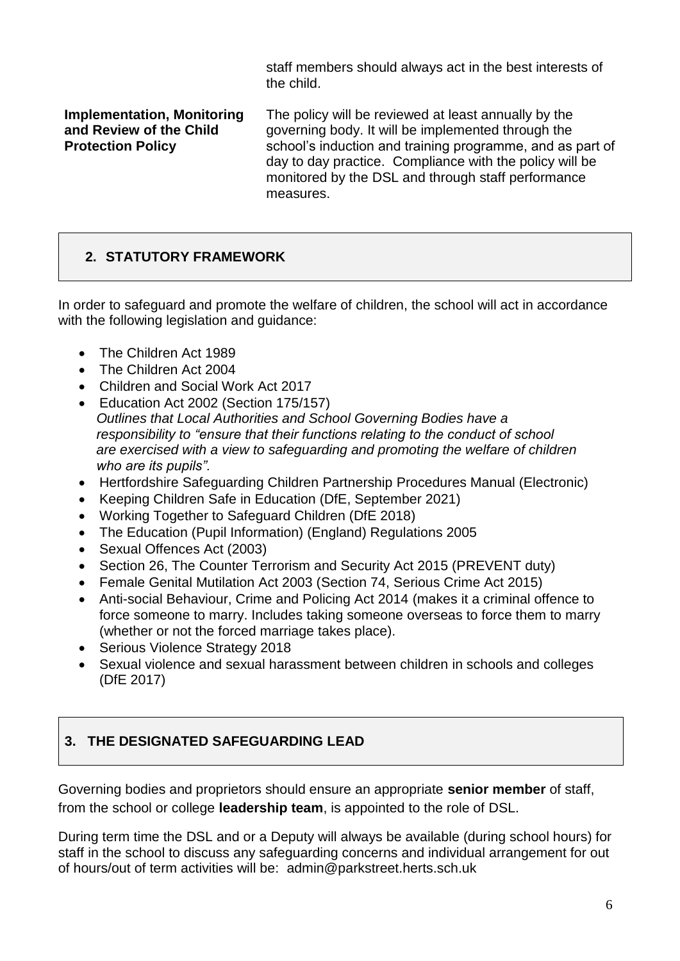staff members should always act in the best interests of the child.

**Implementation, Monitoring and Review of the Child Protection Policy** The policy will be reviewed at least annually by the governing body. It will be implemented through the school's induction and training programme, and as part of day to day practice. Compliance with the policy will be monitored by the DSL and through staff performance measures.

#### **2. STATUTORY FRAMEWORK**

In order to safeguard and promote the welfare of children, the school will act in accordance with the following legislation and guidance:

- The Children Act 1989
- The Children Act 2004
- Children and Social Work Act 2017
- Education Act 2002 (Section 175/157) *Outlines that Local Authorities and School Governing Bodies have a responsibility to "ensure that their functions relating to the conduct of school are exercised with a view to safeguarding and promoting the welfare of children who are its pupils".*
- Hertfordshire Safeguarding Children Partnership Procedures Manual (Electronic)
- Keeping Children Safe in Education (DfE, September 2021)
- Working Together to Safeguard Children (DfE 2018)
- The Education (Pupil Information) (England) Regulations 2005
- Sexual Offences Act (2003)
- Section 26, The Counter Terrorism and Security Act 2015 (PREVENT duty)
- Female Genital Mutilation Act 2003 (Section 74, Serious Crime Act 2015)
- Anti-social Behaviour, Crime and Policing Act 2014 (makes it a criminal offence to force someone to marry. Includes taking someone overseas to force them to marry (whether or not the forced marriage takes place).
- Serious Violence Strategy 2018
- Sexual violence and sexual harassment between children in schools and colleges (DfE 2017)

#### **3. THE DESIGNATED SAFEGUARDING LEAD**

Governing bodies and proprietors should ensure an appropriate **senior member** of staff, from the school or college **leadership team**, is appointed to the role of DSL.

During term time the DSL and or a Deputy will always be available (during school hours) for staff in the school to discuss any safeguarding concerns and individual arrangement for out of hours/out of term activities will be: admin@parkstreet.herts.sch.uk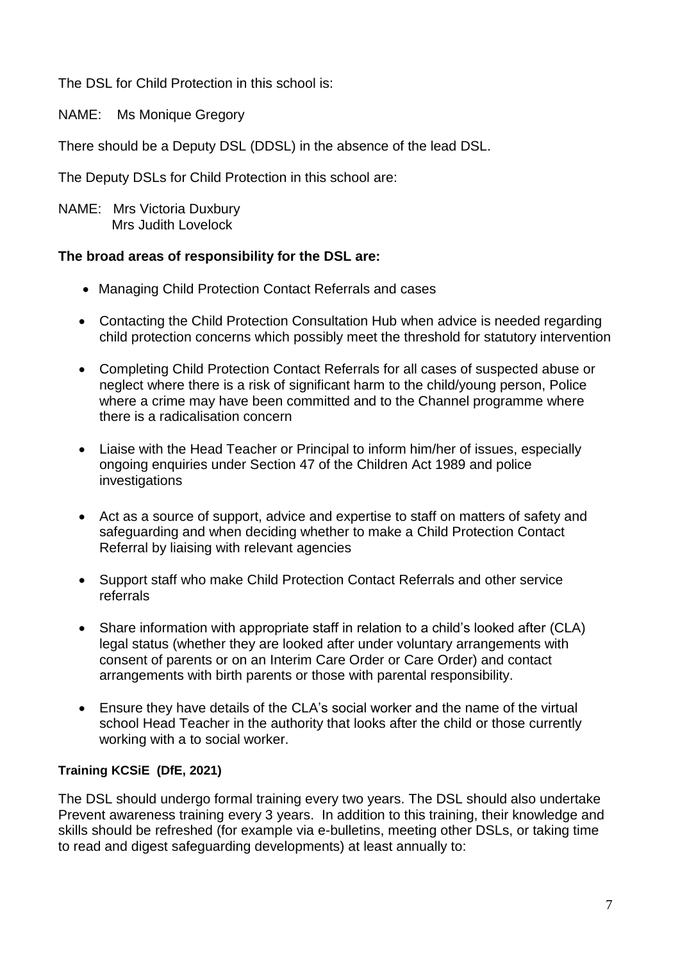The DSL for Child Protection in this school is:

NAME: Ms Monique Gregory

There should be a Deputy DSL (DDSL) in the absence of the lead DSL.

The Deputy DSLs for Child Protection in this school are:

NAME: Mrs Victoria Duxbury Mrs Judith Lovelock

#### **The broad areas of responsibility for the DSL are:**

- Managing Child Protection Contact Referrals and cases
- Contacting the Child Protection Consultation Hub when advice is needed regarding child protection concerns which possibly meet the threshold for statutory intervention
- Completing Child Protection Contact Referrals for all cases of suspected abuse or neglect where there is a risk of significant harm to the child/young person, Police where a crime may have been committed and to the Channel programme where there is a radicalisation concern
- Liaise with the Head Teacher or Principal to inform him/her of issues, especially ongoing enquiries under Section 47 of the Children Act 1989 and police investigations
- Act as a source of support, advice and expertise to staff on matters of safety and safeguarding and when deciding whether to make a Child Protection Contact Referral by liaising with relevant agencies
- Support staff who make Child Protection Contact Referrals and other service referrals
- Share information with appropriate staff in relation to a child's looked after (CLA) legal status (whether they are looked after under voluntary arrangements with consent of parents or on an Interim Care Order or Care Order) and contact arrangements with birth parents or those with parental responsibility.
- Ensure they have details of the CLA's social worker and the name of the virtual school Head Teacher in the authority that looks after the child or those currently working with a to social worker.

#### **Training KCSiE (DfE, 2021)**

The DSL should undergo formal training every two years. The DSL should also undertake Prevent awareness training every 3 years. In addition to this training, their knowledge and skills should be refreshed (for example via e-bulletins, meeting other DSLs, or taking time to read and digest safeguarding developments) at least annually to: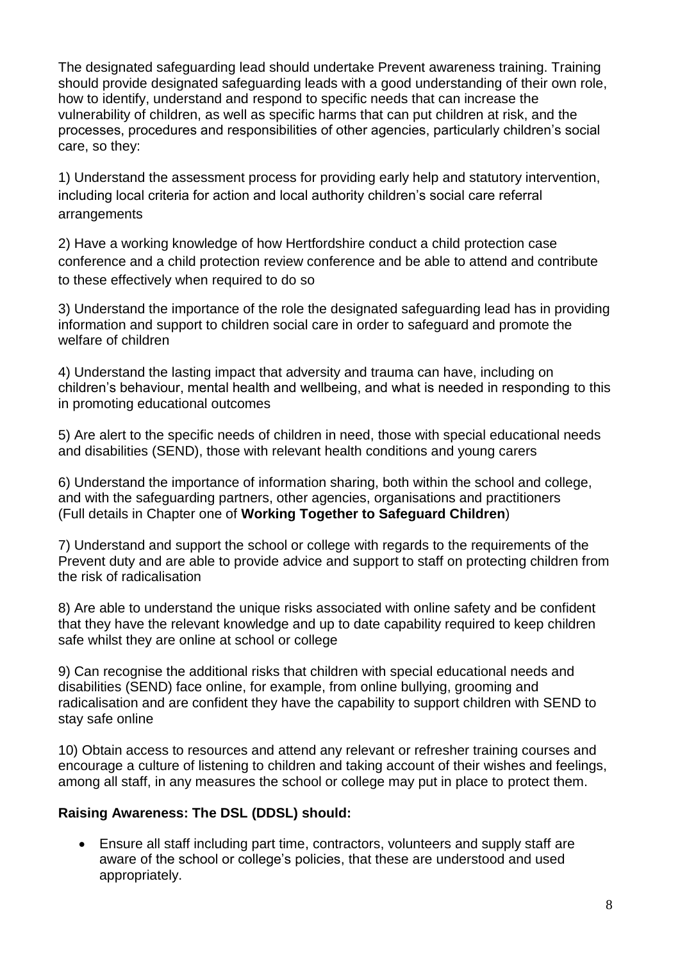The designated safeguarding lead should undertake Prevent awareness training. Training should provide designated safeguarding leads with a good understanding of their own role, how to identify, understand and respond to specific needs that can increase the vulnerability of children, as well as specific harms that can put children at risk, and the processes, procedures and responsibilities of other agencies, particularly children's social care, so they:

1) Understand the assessment process for providing early help and statutory intervention, including local criteria for action and local authority children's social care referral arrangements

2) Have a working knowledge of how Hertfordshire conduct a child protection case conference and a child protection review conference and be able to attend and contribute to these effectively when required to do so

3) Understand the importance of the role the designated safeguarding lead has in providing information and support to children social care in order to safeguard and promote the welfare of children

4) Understand the lasting impact that adversity and trauma can have, including on children's behaviour, mental health and wellbeing, and what is needed in responding to this in promoting educational outcomes

5) Are alert to the specific needs of children in need, those with special educational needs and disabilities (SEND), those with relevant health conditions and young carers

6) Understand the importance of information sharing, both within the school and college, and with the safeguarding partners, other agencies, organisations and practitioners (Full details in Chapter one of **Working Together to Safeguard Children**)

7) Understand and support the school or college with regards to the requirements of the Prevent duty and are able to provide advice and support to staff on protecting children from the risk of radicalisation

8) Are able to understand the unique risks associated with online safety and be confident that they have the relevant knowledge and up to date capability required to keep children safe whilst they are online at school or college

9) Can recognise the additional risks that children with special educational needs and disabilities (SEND) face online, for example, from online bullying, grooming and radicalisation and are confident they have the capability to support children with SEND to stay safe online

10) Obtain access to resources and attend any relevant or refresher training courses and encourage a culture of listening to children and taking account of their wishes and feelings, among all staff, in any measures the school or college may put in place to protect them.

#### **Raising Awareness: The DSL (DDSL) should:**

 Ensure all staff including part time, contractors, volunteers and supply staff are aware of the school or college's policies, that these are understood and used appropriately.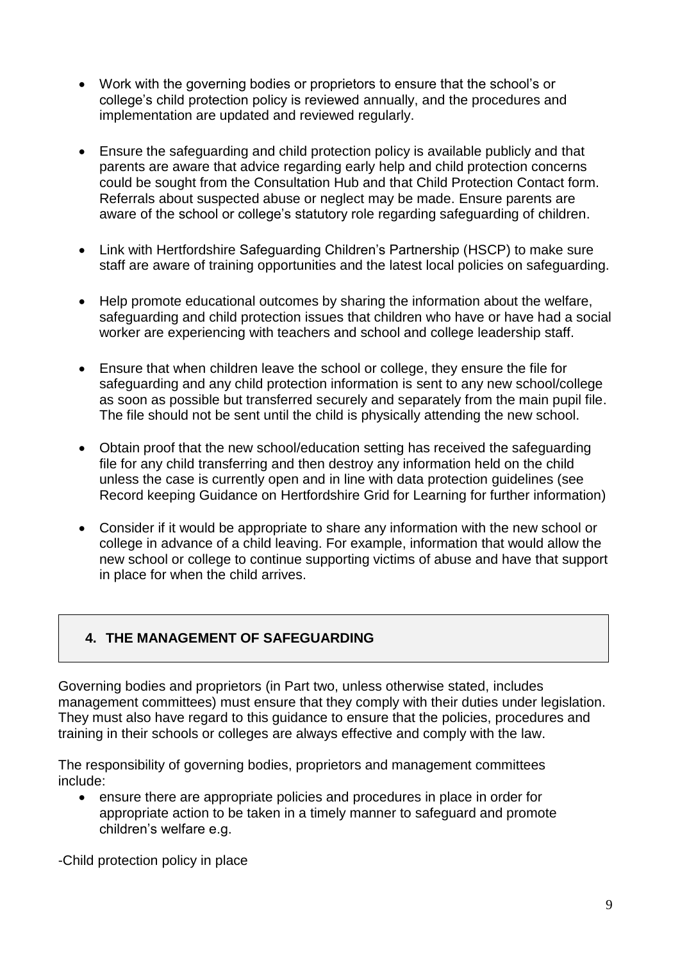- Work with the governing bodies or proprietors to ensure that the school's or college's child protection policy is reviewed annually, and the procedures and implementation are updated and reviewed regularly.
- Ensure the safeguarding and child protection policy is available publicly and that parents are aware that advice regarding early help and child protection concerns could be sought from the Consultation Hub and that Child Protection Contact form. Referrals about suspected abuse or neglect may be made. Ensure parents are aware of the school or college's statutory role regarding safeguarding of children.
- Link with Hertfordshire Safeguarding Children's Partnership (HSCP) to make sure staff are aware of training opportunities and the latest local policies on safeguarding.
- Help promote educational outcomes by sharing the information about the welfare, safeguarding and child protection issues that children who have or have had a social worker are experiencing with teachers and school and college leadership staff.
- Ensure that when children leave the school or college, they ensure the file for safeguarding and any child protection information is sent to any new school/college as soon as possible but transferred securely and separately from the main pupil file. The file should not be sent until the child is physically attending the new school.
- Obtain proof that the new school/education setting has received the safeguarding file for any child transferring and then destroy any information held on the child unless the case is currently open and in line with data protection guidelines (see Record keeping Guidance on Hertfordshire Grid for Learning for further information)
- Consider if it would be appropriate to share any information with the new school or college in advance of a child leaving. For example, information that would allow the new school or college to continue supporting victims of abuse and have that support in place for when the child arrives.

#### **4. THE MANAGEMENT OF SAFEGUARDING**

Governing bodies and proprietors (in Part two, unless otherwise stated, includes management committees) must ensure that they comply with their duties under legislation. They must also have regard to this guidance to ensure that the policies, procedures and training in their schools or colleges are always effective and comply with the law.

The responsibility of governing bodies, proprietors and management committees include:

 ensure there are appropriate policies and procedures in place in order for appropriate action to be taken in a timely manner to safeguard and promote children's welfare e.g.

-Child protection policy in place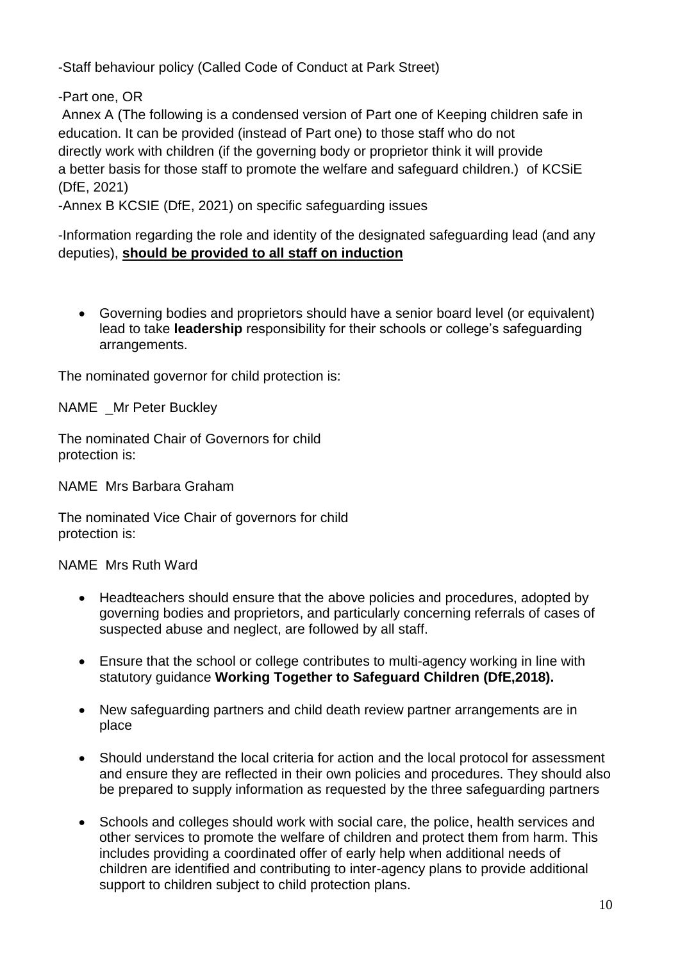-Staff behaviour policy (Called Code of Conduct at Park Street)

-Part one, OR

Annex A (The following is a condensed version of Part one of Keeping children safe in education. It can be provided (instead of Part one) to those staff who do not directly work with children (if the governing body or proprietor think it will provide a better basis for those staff to promote the welfare and safeguard children.) of KCSiE (DfE, 2021)

-Annex B KCSIE (DfE, 2021) on specific safeguarding issues

-Information regarding the role and identity of the designated safeguarding lead (and any deputies), **should be provided to all staff on induction**

 Governing bodies and proprietors should have a senior board level (or equivalent) lead to take **leadership** responsibility for their schools or college's safeguarding arrangements.

The nominated governor for child protection is:

NAME Mr Peter Buckley

The nominated Chair of Governors for child protection is:

NAME Mrs Barbara Graham

The nominated Vice Chair of governors for child protection is:

NAME Mrs Ruth Ward

- Headteachers should ensure that the above policies and procedures, adopted by governing bodies and proprietors, and particularly concerning referrals of cases of suspected abuse and neglect, are followed by all staff.
- Ensure that the school or college contributes to multi-agency working in line with statutory guidance **Working Together to Safeguard Children (DfE,2018).**
- New safeguarding partners and child death review partner arrangements are in place
- Should understand the local criteria for action and the local protocol for assessment and ensure they are reflected in their own policies and procedures. They should also be prepared to supply information as requested by the three safeguarding partners
- Schools and colleges should work with social care, the police, health services and other services to promote the welfare of children and protect them from harm. This includes providing a coordinated offer of early help when additional needs of children are identified and contributing to inter-agency plans to provide additional support to children subject to child protection plans.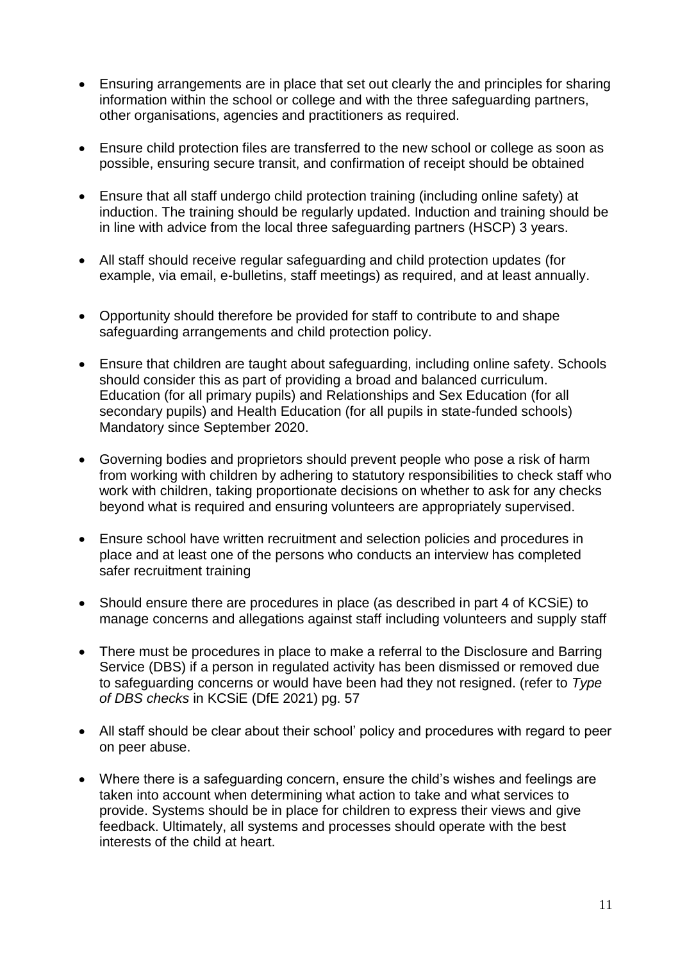- Ensuring arrangements are in place that set out clearly the and principles for sharing information within the school or college and with the three safeguarding partners, other organisations, agencies and practitioners as required.
- Ensure child protection files are transferred to the new school or college as soon as possible, ensuring secure transit, and confirmation of receipt should be obtained
- Ensure that all staff undergo child protection training (including online safety) at induction. The training should be regularly updated. Induction and training should be in line with advice from the local three safeguarding partners (HSCP) 3 years.
- All staff should receive regular safeguarding and child protection updates (for example, via email, e-bulletins, staff meetings) as required, and at least annually.
- Opportunity should therefore be provided for staff to contribute to and shape safeguarding arrangements and child protection policy.
- Ensure that children are taught about safeguarding, including online safety. Schools should consider this as part of providing a broad and balanced curriculum. Education (for all primary pupils) and Relationships and Sex Education (for all secondary pupils) and Health Education (for all pupils in state-funded schools) Mandatory since September 2020.
- Governing bodies and proprietors should prevent people who pose a risk of harm from working with children by adhering to statutory responsibilities to check staff who work with children, taking proportionate decisions on whether to ask for any checks beyond what is required and ensuring volunteers are appropriately supervised.
- Ensure school have written recruitment and selection policies and procedures in place and at least one of the persons who conducts an interview has completed safer recruitment training
- Should ensure there are procedures in place (as described in part 4 of KCSiE) to manage concerns and allegations against staff including volunteers and supply staff
- There must be procedures in place to make a referral to the Disclosure and Barring Service (DBS) if a person in regulated activity has been dismissed or removed due to safeguarding concerns or would have been had they not resigned. (refer to *Type of DBS checks* in KCSiE (DfE 2021) pg. 57
- All staff should be clear about their school' policy and procedures with regard to peer on peer abuse.
- Where there is a safeguarding concern, ensure the child's wishes and feelings are taken into account when determining what action to take and what services to provide. Systems should be in place for children to express their views and give feedback. Ultimately, all systems and processes should operate with the best interests of the child at heart.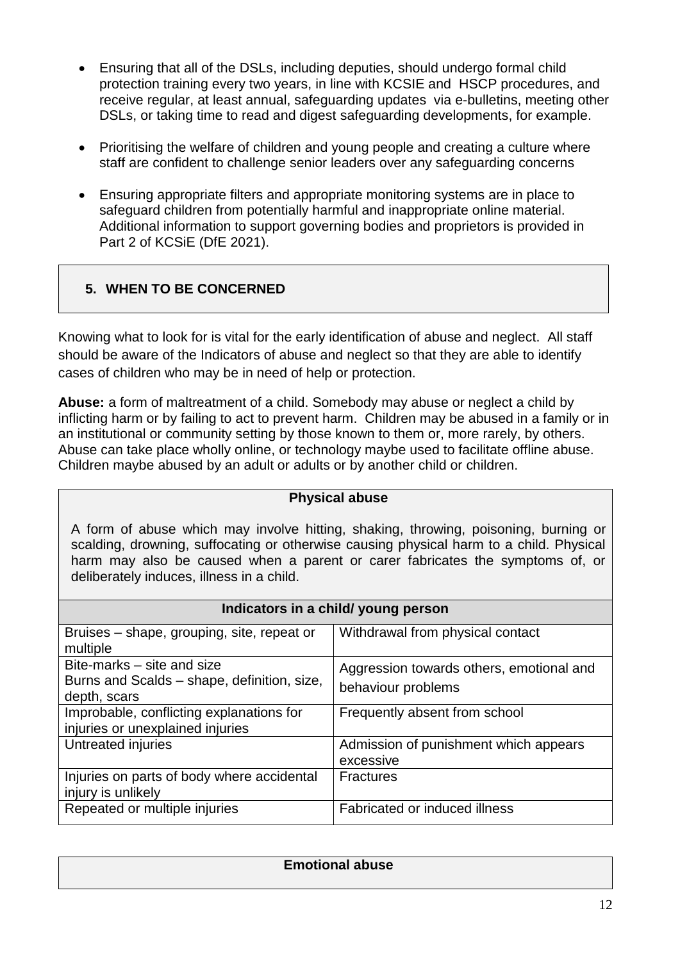- Ensuring that all of the DSLs, including deputies, should undergo formal child protection training every two years, in line with KCSIE and HSCP procedures, and receive regular, at least annual, safeguarding updates via e-bulletins, meeting other DSLs, or taking time to read and digest safeguarding developments, for example.
- Prioritising the welfare of children and young people and creating a culture where staff are confident to challenge senior leaders over any safeguarding concerns
- Ensuring appropriate filters and appropriate monitoring systems are in place to safeguard children from potentially harmful and inappropriate online material. Additional information to support governing bodies and proprietors is provided in Part 2 of KCSiE (DfE 2021).

#### **5. WHEN TO BE CONCERNED**

Knowing what to look for is vital for the early identification of abuse and neglect. All staff should be aware of the Indicators of abuse and neglect so that they are able to identify cases of children who may be in need of help or protection.

**Abuse:** a form of maltreatment of a child. Somebody may abuse or neglect a child by inflicting harm or by failing to act to prevent harm. Children may be abused in a family or in an institutional or community setting by those known to them or, more rarely, by others. Abuse can take place wholly online, or technology maybe used to facilitate offline abuse. Children maybe abused by an adult or adults or by another child or children.

## **Physical abuse**

A form of abuse which may involve hitting, shaking, throwing, poisoning, burning or scalding, drowning, suffocating or otherwise causing physical harm to a child. Physical harm may also be caused when a parent or carer fabricates the symptoms of, or deliberately induces, illness in a child.

| Indicators in a child/ young person                                                       |                                                                |  |
|-------------------------------------------------------------------------------------------|----------------------------------------------------------------|--|
| Bruises – shape, grouping, site, repeat or<br>multiple                                    | Withdrawal from physical contact                               |  |
| Bite-marks – site and size<br>Burns and Scalds - shape, definition, size,<br>depth, scars | Aggression towards others, emotional and<br>behaviour problems |  |
| Improbable, conflicting explanations for<br>injuries or unexplained injuries              | Frequently absent from school                                  |  |
| Untreated injuries                                                                        | Admission of punishment which appears<br>excessive             |  |
| Injuries on parts of body where accidental<br>injury is unlikely                          | <b>Fractures</b>                                               |  |
| Repeated or multiple injuries                                                             | Fabricated or induced illness                                  |  |

| <b>Emotional abuse</b> |
|------------------------|
|                        |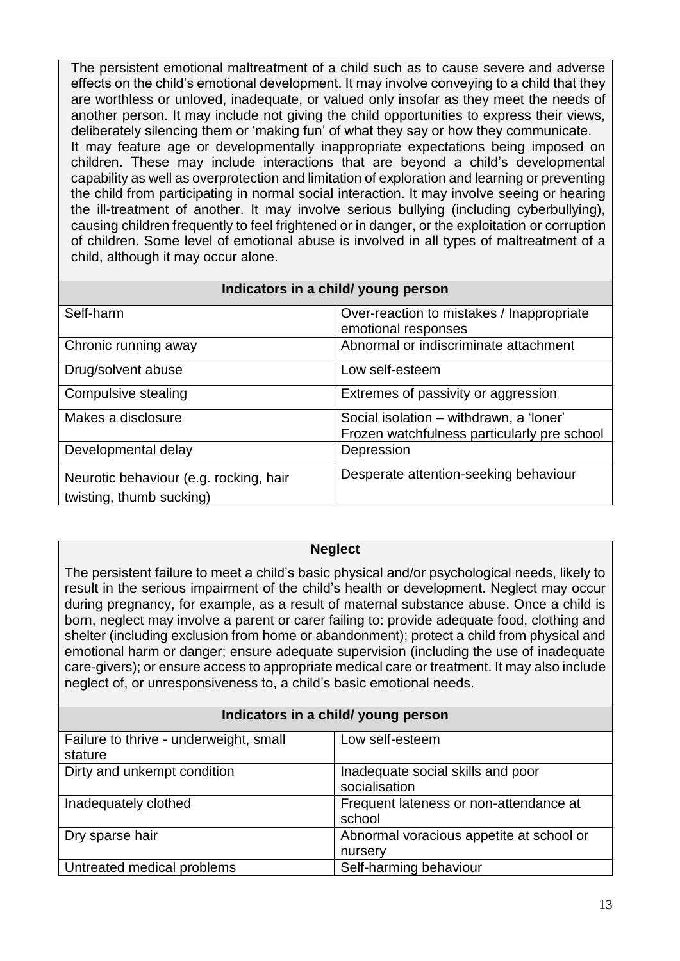The persistent emotional maltreatment of a child such as to cause severe and adverse effects on the child's emotional development. It may involve conveying to a child that they are worthless or unloved, inadequate, or valued only insofar as they meet the needs of another person. It may include not giving the child opportunities to express their views, deliberately silencing them or 'making fun' of what they say or how they communicate. It may feature age or developmentally inappropriate expectations being imposed on children. These may include interactions that are beyond a child's developmental capability as well as overprotection and limitation of exploration and learning or preventing the child from participating in normal social interaction. It may involve seeing or hearing the ill-treatment of another. It may involve serious bullying (including cyberbullying), causing children frequently to feel frightened or in danger, or the exploitation or corruption of children. Some level of emotional abuse is involved in all types of maltreatment of a child, although it may occur alone.

| Indicators in a child/ young person                                |                                                                                        |  |
|--------------------------------------------------------------------|----------------------------------------------------------------------------------------|--|
| Self-harm                                                          | Over-reaction to mistakes / Inappropriate<br>emotional responses                       |  |
| Chronic running away                                               | Abnormal or indiscriminate attachment                                                  |  |
| Drug/solvent abuse                                                 | Low self-esteem                                                                        |  |
| Compulsive stealing                                                | Extremes of passivity or aggression                                                    |  |
| Makes a disclosure                                                 | Social isolation - withdrawn, a 'loner'<br>Frozen watchfulness particularly pre school |  |
| Developmental delay                                                | Depression                                                                             |  |
| Neurotic behaviour (e.g. rocking, hair<br>twisting, thumb sucking) | Desperate attention-seeking behaviour                                                  |  |

#### **Neglect**

The persistent failure to meet a child's basic physical and/or psychological needs, likely to result in the serious impairment of the child's health or development. Neglect may occur during pregnancy, for example, as a result of maternal substance abuse. Once a child is born, neglect may involve a parent or carer failing to: provide adequate food, clothing and shelter (including exclusion from home or abandonment); protect a child from physical and emotional harm or danger; ensure adequate supervision (including the use of inadequate care-givers); or ensure access to appropriate medical care or treatment. It may also include neglect of, or unresponsiveness to, a child's basic emotional needs.

| Indicators in a child/ young person               |                                                     |  |
|---------------------------------------------------|-----------------------------------------------------|--|
| Failure to thrive - underweight, small<br>stature | Low self-esteem                                     |  |
| Dirty and unkempt condition                       | Inadequate social skills and poor<br>socialisation  |  |
| Inadequately clothed                              | Frequent lateness or non-attendance at<br>school    |  |
| Dry sparse hair                                   | Abnormal voracious appetite at school or<br>nursery |  |
| Untreated medical problems                        | Self-harming behaviour                              |  |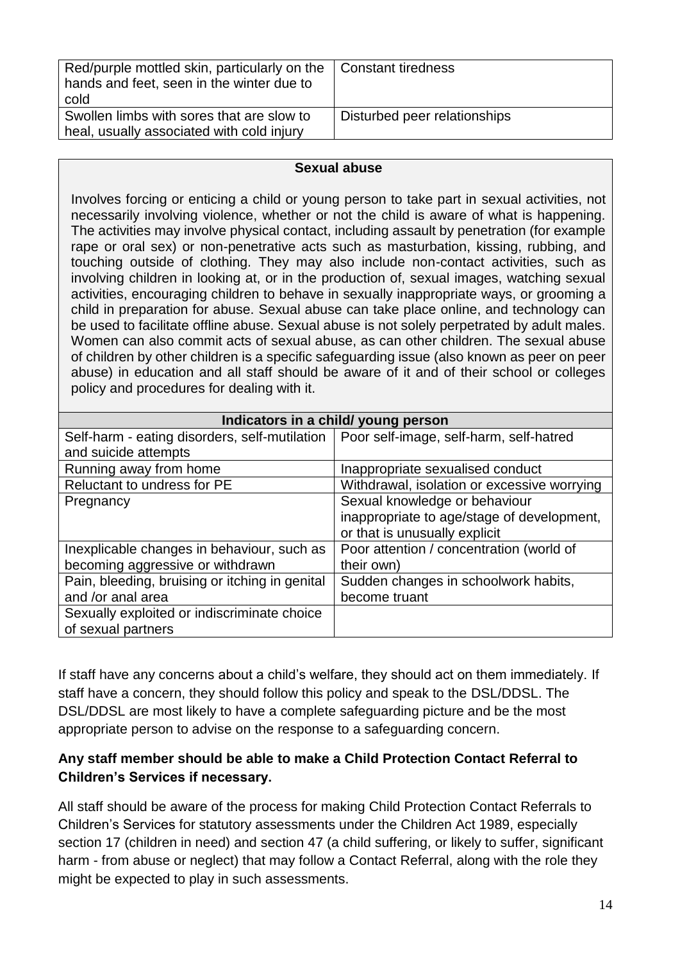| Red/purple mottled skin, particularly on the<br>hands and feet, seen in the winter due to<br>cold | <b>Constant tiredness</b>    |
|---------------------------------------------------------------------------------------------------|------------------------------|
| Swollen limbs with sores that are slow to<br>heal, usually associated with cold injury            | Disturbed peer relationships |

#### **Sexual abuse**

Involves forcing or enticing a child or young person to take part in sexual activities, not necessarily involving violence, whether or not the child is aware of what is happening. The activities may involve physical contact, including assault by penetration (for example rape or oral sex) or non-penetrative acts such as masturbation, kissing, rubbing, and touching outside of clothing. They may also include non-contact activities, such as involving children in looking at, or in the production of, sexual images, watching sexual activities, encouraging children to behave in sexually inappropriate ways, or grooming a child in preparation for abuse. Sexual abuse can take place online, and technology can be used to facilitate offline abuse. Sexual abuse is not solely perpetrated by adult males. Women can also commit acts of sexual abuse, as can other children. The sexual abuse of children by other children is a specific safeguarding issue (also known as peer on peer abuse) in education and all staff should be aware of it and of their school or colleges policy and procedures for dealing with it.

| Indicators in a child/ young person                                                     |                                             |  |
|-----------------------------------------------------------------------------------------|---------------------------------------------|--|
| Self-harm - eating disorders, self-mutilation   Poor self-image, self-harm, self-hatred |                                             |  |
| and suicide attempts                                                                    |                                             |  |
| Running away from home                                                                  | Inappropriate sexualised conduct            |  |
| Reluctant to undress for PE                                                             | Withdrawal, isolation or excessive worrying |  |
| Pregnancy                                                                               | Sexual knowledge or behaviour               |  |
|                                                                                         | inappropriate to age/stage of development,  |  |
|                                                                                         | or that is unusually explicit               |  |
| Inexplicable changes in behaviour, such as                                              | Poor attention / concentration (world of    |  |
| becoming aggressive or withdrawn                                                        | their own)                                  |  |
| Pain, bleeding, bruising or itching in genital                                          | Sudden changes in schoolwork habits,        |  |
| and /or anal area                                                                       | become truant                               |  |
| Sexually exploited or indiscriminate choice                                             |                                             |  |
| of sexual partners                                                                      |                                             |  |

If staff have any concerns about a child's welfare, they should act on them immediately. If staff have a concern, they should follow this policy and speak to the DSL/DDSL. The DSL/DDSL are most likely to have a complete safeguarding picture and be the most appropriate person to advise on the response to a safeguarding concern.

#### **Any staff member should be able to make a Child Protection Contact Referral to Children's Services if necessary.**

All staff should be aware of the process for making Child Protection Contact Referrals to Children's Services for statutory assessments under the Children Act 1989, especially section 17 (children in need) and section 47 (a child suffering, or likely to suffer, significant harm - from abuse or neglect) that may follow a Contact Referral, along with the role they might be expected to play in such assessments.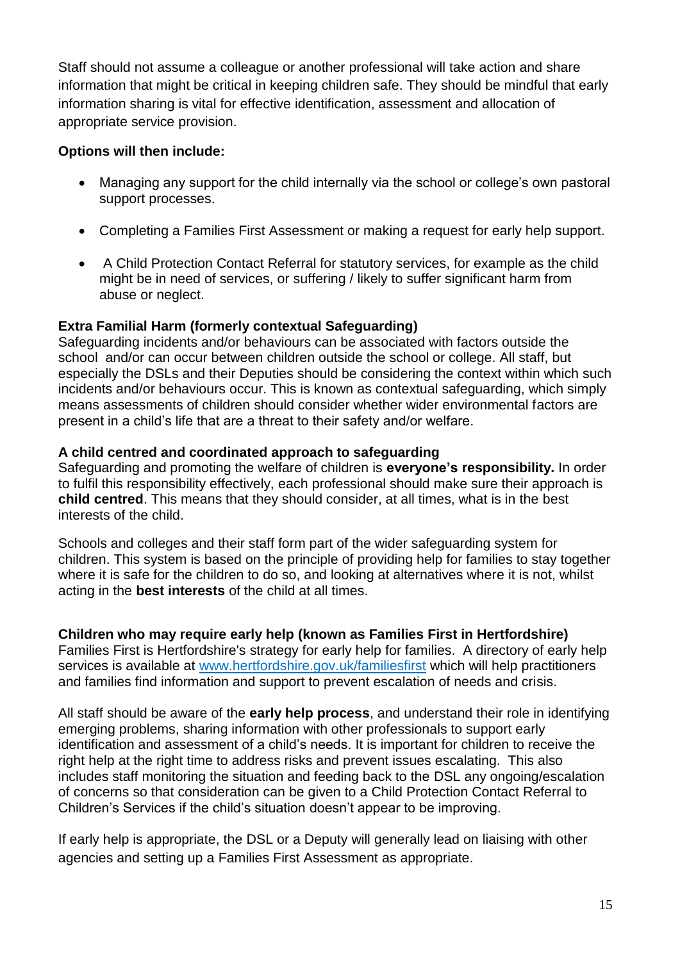Staff should not assume a colleague or another professional will take action and share information that might be critical in keeping children safe. They should be mindful that early information sharing is vital for effective identification, assessment and allocation of appropriate service provision.

#### **Options will then include:**

- Managing any support for the child internally via the school or college's own pastoral support processes.
- Completing a Families First Assessment or making a request for early help support.
- A Child Protection Contact Referral for statutory services, for example as the child might be in need of services, or suffering / likely to suffer significant harm from abuse or neglect.

#### **Extra Familial Harm (formerly contextual Safeguarding)**

Safeguarding incidents and/or behaviours can be associated with factors outside the school and/or can occur between children outside the school or college. All staff, but especially the DSLs and their Deputies should be considering the context within which such incidents and/or behaviours occur. This is known as contextual safeguarding, which simply means assessments of children should consider whether wider environmental factors are present in a child's life that are a threat to their safety and/or welfare.

#### **A child centred and coordinated approach to safeguarding**

Safeguarding and promoting the welfare of children is **everyone's responsibility.** In order to fulfil this responsibility effectively, each professional should make sure their approach is **child centred**. This means that they should consider, at all times, what is in the best interests of the child.

Schools and colleges and their staff form part of the wider safeguarding system for children. This system is based on the principle of providing help for families to stay together where it is safe for the children to do so, and looking at alternatives where it is not, whilst acting in the **best interests** of the child at all times.

#### **Children who may require early help (known as Families First in Hertfordshire)**

Families First is Hertfordshire's strategy for early help for families. A directory of early help services is available at [www.hertfordshire.gov.uk/familiesfirst](http://www.hertfordshire.gov.uk/familiesfirst) which will help practitioners and families find information and support to prevent escalation of needs and crisis.

All staff should be aware of the **early help process**, and understand their role in identifying emerging problems, sharing information with other professionals to support early identification and assessment of a child's needs. It is important for children to receive the right help at the right time to address risks and prevent issues escalating. This also includes staff monitoring the situation and feeding back to the DSL any ongoing/escalation of concerns so that consideration can be given to a Child Protection Contact Referral to Children's Services if the child's situation doesn't appear to be improving.

If early help is appropriate, the DSL or a Deputy will generally lead on liaising with other agencies and setting up a Families First Assessment as appropriate.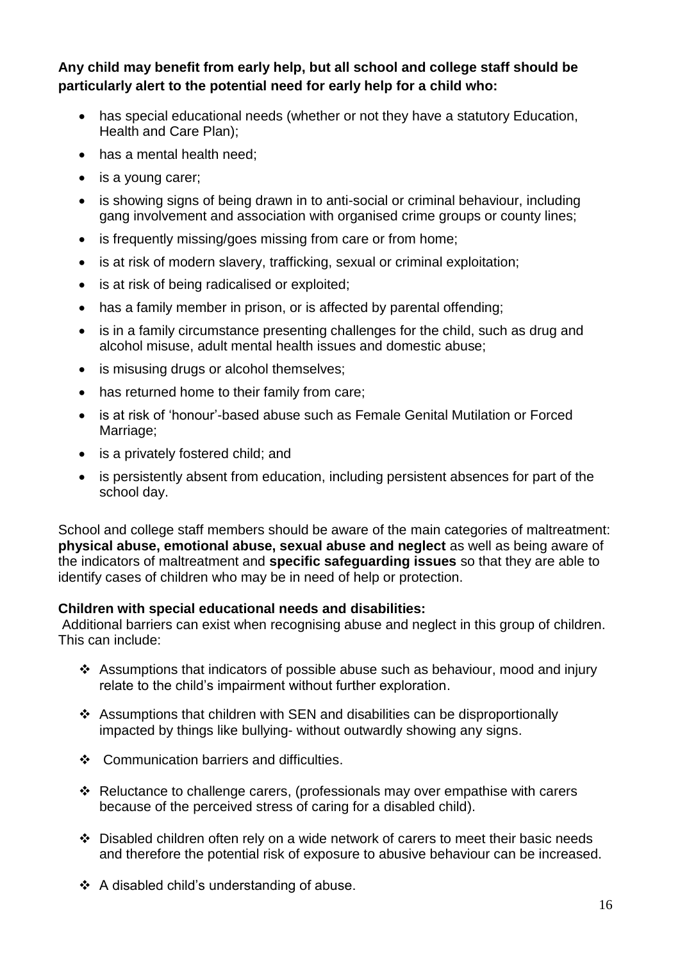**Any child may benefit from early help, but all school and college staff should be particularly alert to the potential need for early help for a child who:** 

- has special educational needs (whether or not they have a statutory Education, Health and Care Plan);
- has a mental health need;
- is a young carer;
- is showing signs of being drawn in to anti-social or criminal behaviour, including gang involvement and association with organised crime groups or county lines;
- is frequently missing/goes missing from care or from home;
- is at risk of modern slavery, trafficking, sexual or criminal exploitation;
- is at risk of being radicalised or exploited;
- has a family member in prison, or is affected by parental offending;
- is in a family circumstance presenting challenges for the child, such as drug and alcohol misuse, adult mental health issues and domestic abuse;
- is misusing drugs or alcohol themselves;
- has returned home to their family from care;
- is at risk of 'honour'-based abuse such as Female Genital Mutilation or Forced Marriage;
- is a privately fostered child; and
- is persistently absent from education, including persistent absences for part of the school day.

School and college staff members should be aware of the main categories of maltreatment: **physical abuse, emotional abuse, sexual abuse and neglect** as well as being aware of the indicators of maltreatment and **specific safeguarding issues** so that they are able to identify cases of children who may be in need of help or protection.

#### **Children with special educational needs and disabilities:**

Additional barriers can exist when recognising abuse and neglect in this group of children. This can include:

- Assumptions that indicators of possible abuse such as behaviour, mood and injury relate to the child's impairment without further exploration.
- Assumptions that children with SEN and disabilities can be disproportionally impacted by things like bullying- without outwardly showing any signs.
- ❖ Communication barriers and difficulties.
- Reluctance to challenge carers, (professionals may over empathise with carers because of the perceived stress of caring for a disabled child).
- $\div$  Disabled children often rely on a wide network of carers to meet their basic needs and therefore the potential risk of exposure to abusive behaviour can be increased.
- ❖ A disabled child's understanding of abuse.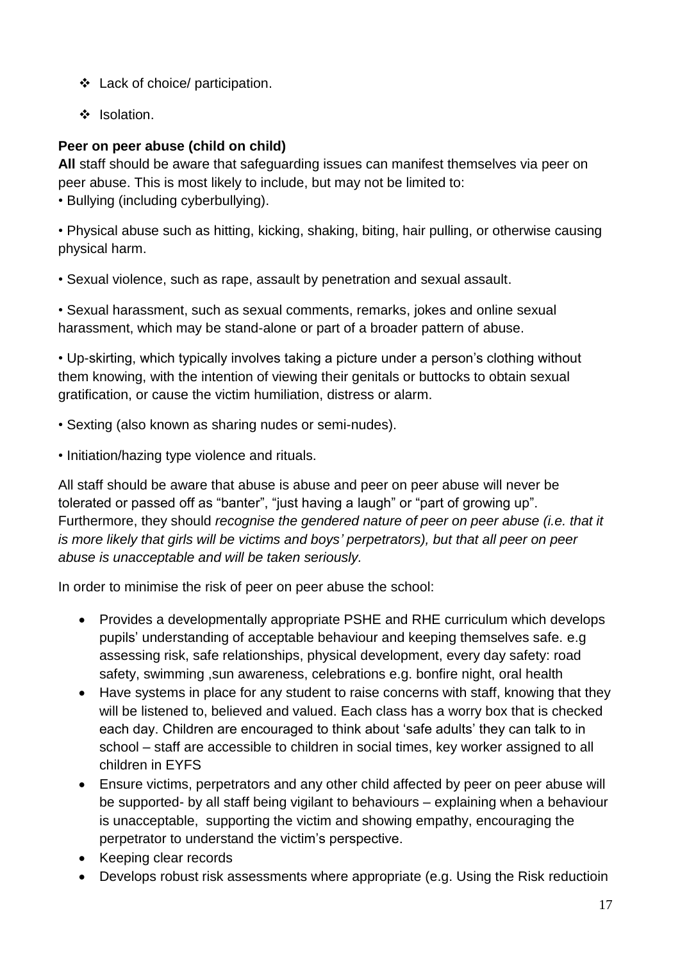- Lack of choice/ participation.
- ❖ Isolation.

#### **Peer on peer abuse (child on child)**

**All** staff should be aware that safeguarding issues can manifest themselves via peer on peer abuse. This is most likely to include, but may not be limited to:

• Bullying (including cyberbullying).

• Physical abuse such as hitting, kicking, shaking, biting, hair pulling, or otherwise causing physical harm.

• Sexual violence, such as rape, assault by penetration and sexual assault.

• Sexual harassment, such as sexual comments, remarks, jokes and online sexual harassment, which may be stand-alone or part of a broader pattern of abuse.

• Up-skirting, which typically involves taking a picture under a person's clothing without them knowing, with the intention of viewing their genitals or buttocks to obtain sexual gratification, or cause the victim humiliation, distress or alarm.

- Sexting (also known as sharing nudes or semi-nudes).
- Initiation/hazing type violence and rituals.

All staff should be aware that abuse is abuse and peer on peer abuse will never be tolerated or passed off as "banter", "just having a laugh" or "part of growing up". Furthermore, they should *recognise the gendered nature of peer on peer abuse (i.e. that it is more likely that girls will be victims and boys' perpetrators), but that all peer on peer abuse is unacceptable and will be taken seriously.*

In order to minimise the risk of peer on peer abuse the school:

- Provides a developmentally appropriate PSHE and RHE curriculum which develops pupils' understanding of acceptable behaviour and keeping themselves safe. e.g assessing risk, safe relationships, physical development, every day safety: road safety, swimming ,sun awareness, celebrations e.g. bonfire night, oral health
- Have systems in place for any student to raise concerns with staff, knowing that they will be listened to, believed and valued. Each class has a worry box that is checked each day. Children are encouraged to think about 'safe adults' they can talk to in school – staff are accessible to children in social times, key worker assigned to all children in EYFS
- Ensure victims, perpetrators and any other child affected by peer on peer abuse will be supported- by all staff being vigilant to behaviours – explaining when a behaviour is unacceptable, supporting the victim and showing empathy, encouraging the perpetrator to understand the victim's perspective.
- Keeping clear records
- Develops robust risk assessments where appropriate (e.g. Using the Risk reductioin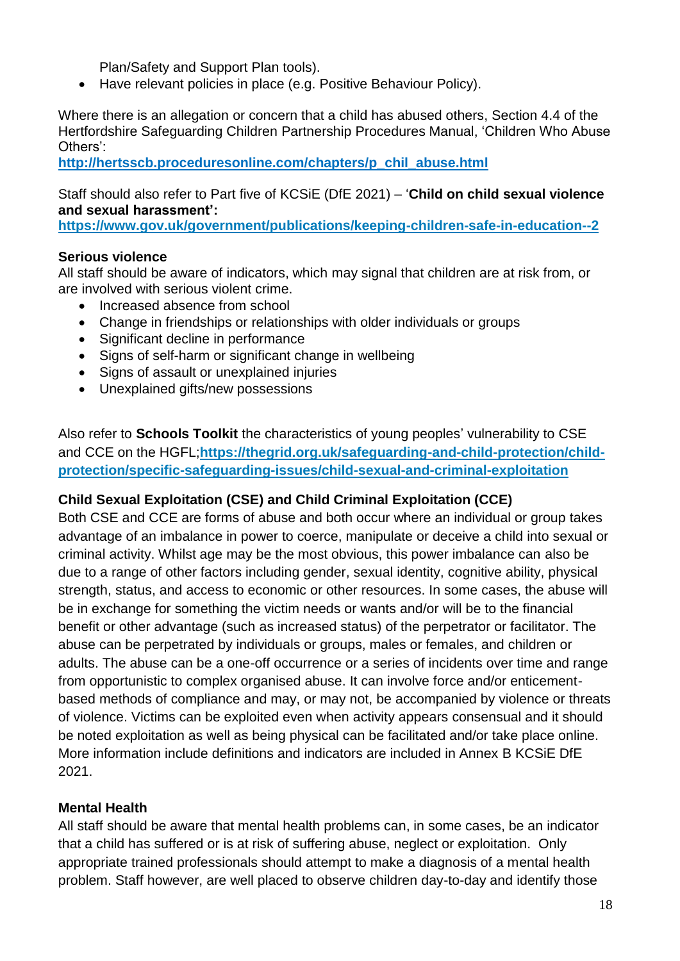Plan/Safety and Support Plan tools).

Have relevant policies in place (e.g. Positive Behaviour Policy).

Where there is an allegation or concern that a child has abused others, Section 4.4 of the Hertfordshire Safeguarding Children Partnership Procedures Manual, 'Children Who Abuse Others':

**[http://hertsscb.proceduresonline.com/chapters/p\\_chil\\_abuse.html](http://hertsscb.proceduresonline.com/chapters/p_chil_abuse.html)**

Staff should also refer to Part five of KCSiE (DfE 2021) – '**Child on child sexual violence and sexual harassment':**

**<https://www.gov.uk/government/publications/keeping-children-safe-in-education--2>**

#### **Serious violence**

All staff should be aware of indicators, which may signal that children are at risk from, or are involved with serious violent crime.

- Increased absence from school
- Change in friendships or relationships with older individuals or groups
- Significant decline in performance
- Signs of self-harm or significant change in wellbeing
- Signs of assault or unexplained injuries
- Unexplained gifts/new possessions

Also refer to **Schools Toolkit** the characteristics of young peoples' vulnerability to CSE and CCE on the HGFL;**[https://thegrid.org.uk/safeguarding-and-child-protection/child](https://thegrid.org.uk/safeguarding-and-child-protection/child-protection/specific-safeguarding-issues/child-sexual-and-criminal-exploitation)[protection/specific-safeguarding-issues/child-sexual-and-criminal-exploitation](https://thegrid.org.uk/safeguarding-and-child-protection/child-protection/specific-safeguarding-issues/child-sexual-and-criminal-exploitation)**

#### **Child Sexual Exploitation (CSE) and Child Criminal Exploitation (CCE)**

Both CSE and CCE are forms of abuse and both occur where an individual or group takes advantage of an imbalance in power to coerce, manipulate or deceive a child into sexual or criminal activity. Whilst age may be the most obvious, this power imbalance can also be due to a range of other factors including gender, sexual identity, cognitive ability, physical strength, status, and access to economic or other resources. In some cases, the abuse will be in exchange for something the victim needs or wants and/or will be to the financial benefit or other advantage (such as increased status) of the perpetrator or facilitator. The abuse can be perpetrated by individuals or groups, males or females, and children or adults. The abuse can be a one-off occurrence or a series of incidents over time and range from opportunistic to complex organised abuse. It can involve force and/or enticementbased methods of compliance and may, or may not, be accompanied by violence or threats of violence. Victims can be exploited even when activity appears consensual and it should be noted exploitation as well as being physical can be facilitated and/or take place online. More information include definitions and indicators are included in Annex B KCSiE DfE 2021.

#### **Mental Health**

All staff should be aware that mental health problems can, in some cases, be an indicator that a child has suffered or is at risk of suffering abuse, neglect or exploitation. Only appropriate trained professionals should attempt to make a diagnosis of a mental health problem. Staff however, are well placed to observe children day-to-day and identify those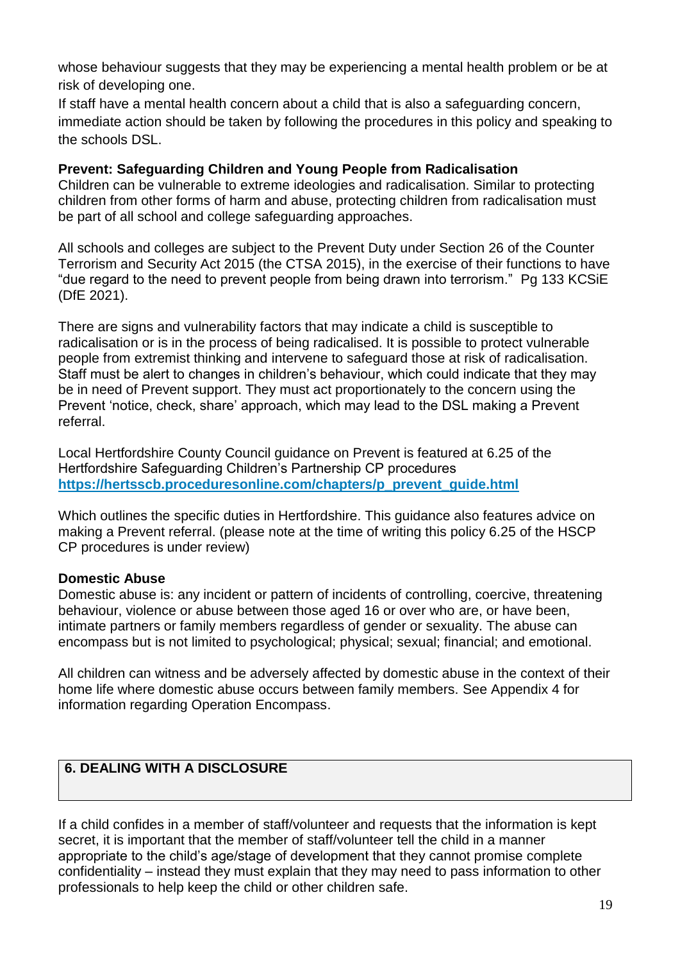whose behaviour suggests that they may be experiencing a mental health problem or be at risk of developing one.

If staff have a mental health concern about a child that is also a safeguarding concern, immediate action should be taken by following the procedures in this policy and speaking to the schools DSL.

#### **Prevent: Safeguarding Children and Young People from Radicalisation**

Children can be vulnerable to extreme ideologies and radicalisation. Similar to protecting children from other forms of harm and abuse, protecting children from radicalisation must be part of all school and college safeguarding approaches.

All schools and colleges are subject to the Prevent Duty under Section 26 of the Counter Terrorism and Security Act 2015 (the CTSA 2015), in the exercise of their functions to have "due regard to the need to prevent people from being drawn into terrorism." Pg 133 KCSiE (DfE 2021).

There are signs and vulnerability factors that may indicate a child is susceptible to radicalisation or is in the process of being radicalised. It is possible to protect vulnerable people from extremist thinking and intervene to safeguard those at risk of radicalisation. Staff must be alert to changes in children's behaviour, which could indicate that they may be in need of Prevent support. They must act proportionately to the concern using the Prevent 'notice, check, share' approach, which may lead to the DSL making a Prevent referral.

Local Hertfordshire County Council guidance on Prevent is featured at 6.25 of the Hertfordshire Safeguarding Children's Partnership CP procedures **[https://hertsscb.proceduresonline.com/chapters/p\\_prevent\\_guide.html](https://hertsscb.proceduresonline.com/chapters/p_prevent_guide.html)**

Which outlines the specific duties in Hertfordshire. This guidance also features advice on making a Prevent referral. (please note at the time of writing this policy 6.25 of the HSCP CP procedures is under review)

#### **Domestic Abuse**

Domestic abuse is: any incident or pattern of incidents of controlling, coercive, threatening behaviour, violence or abuse between those aged 16 or over who are, or have been, intimate partners or family members regardless of gender or sexuality. The abuse can encompass but is not limited to psychological; physical; sexual; financial; and emotional.

All children can witness and be adversely affected by domestic abuse in the context of their home life where domestic abuse occurs between family members. See Appendix 4 for information regarding Operation Encompass.

#### **6. DEALING WITH A DISCLOSURE**

If a child confides in a member of staff/volunteer and requests that the information is kept secret, it is important that the member of staff/volunteer tell the child in a manner appropriate to the child's age/stage of development that they cannot promise complete confidentiality – instead they must explain that they may need to pass information to other professionals to help keep the child or other children safe.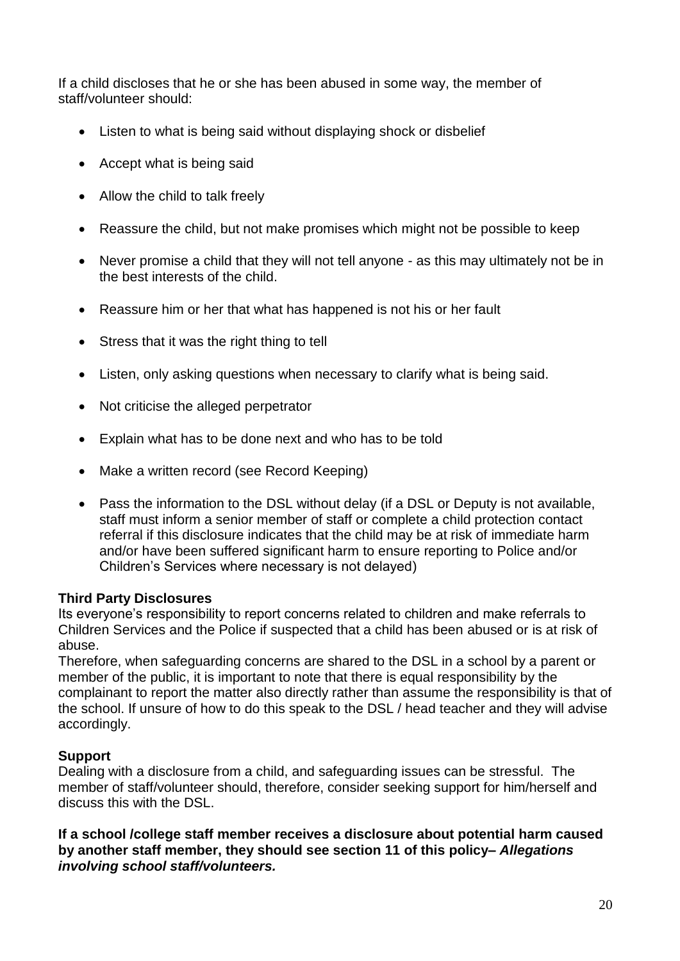If a child discloses that he or she has been abused in some way, the member of staff/volunteer should:

- Listen to what is being said without displaying shock or disbelief
- Accept what is being said
- Allow the child to talk freely
- Reassure the child, but not make promises which might not be possible to keep
- Never promise a child that they will not tell anyone as this may ultimately not be in the best interests of the child.
- Reassure him or her that what has happened is not his or her fault
- Stress that it was the right thing to tell
- Listen, only asking questions when necessary to clarify what is being said.
- Not criticise the alleged perpetrator
- Explain what has to be done next and who has to be told
- Make a written record (see Record Keeping)
- Pass the information to the DSL without delay (if a DSL or Deputy is not available, staff must inform a senior member of staff or complete a child protection contact referral if this disclosure indicates that the child may be at risk of immediate harm and/or have been suffered significant harm to ensure reporting to Police and/or Children's Services where necessary is not delayed)

#### **Third Party Disclosures**

Its everyone's responsibility to report concerns related to children and make referrals to Children Services and the Police if suspected that a child has been abused or is at risk of abuse.

Therefore, when safeguarding concerns are shared to the DSL in a school by a parent or member of the public, it is important to note that there is equal responsibility by the complainant to report the matter also directly rather than assume the responsibility is that of the school. If unsure of how to do this speak to the DSL / head teacher and they will advise accordingly.

#### **Support**

Dealing with a disclosure from a child, and safeguarding issues can be stressful. The member of staff/volunteer should, therefore, consider seeking support for him/herself and discuss this with the DSL.

**If a school /college staff member receives a disclosure about potential harm caused by another staff member, they should see section 11 of this policy–** *Allegations involving school staff/volunteers.*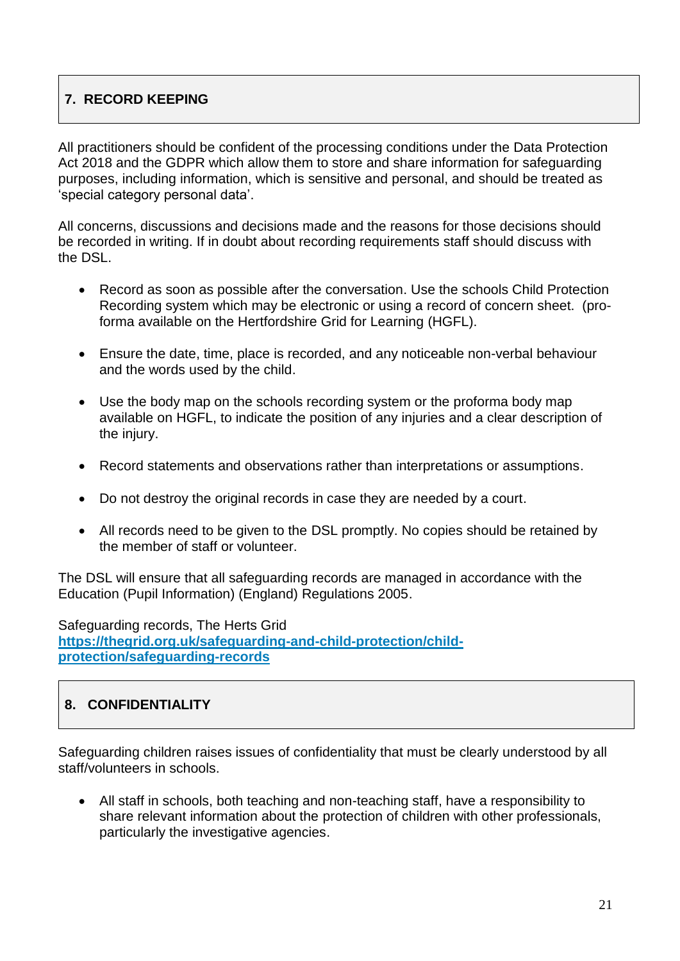#### **7. RECORD KEEPING**

All practitioners should be confident of the processing conditions under the Data Protection Act 2018 and the GDPR which allow them to store and share information for safeguarding purposes, including information, which is sensitive and personal, and should be treated as 'special category personal data'.

All concerns, discussions and decisions made and the reasons for those decisions should be recorded in writing. If in doubt about recording requirements staff should discuss with the DSL.

- Record as soon as possible after the conversation. Use the schools Child Protection Recording system which may be electronic or using a record of concern sheet. (proforma available on the Hertfordshire Grid for Learning (HGFL).
- Ensure the date, time, place is recorded, and any noticeable non-verbal behaviour and the words used by the child.
- Use the body map on the schools recording system or the proforma body map available on HGFL, to indicate the position of any injuries and a clear description of the injury.
- Record statements and observations rather than interpretations or assumptions.
- Do not destroy the original records in case they are needed by a court.
- All records need to be given to the DSL promptly. No copies should be retained by the member of staff or volunteer.

The DSL will ensure that all safeguarding records are managed in accordance with the Education (Pupil Information) (England) Regulations 2005.

Safeguarding records, The Herts Grid **[https://thegrid.org.uk/safeguarding-and-child-protection/child](https://thegrid.org.uk/safeguarding-and-child-protection/child-protection/safeguarding-records)[protection/safeguarding-records](https://thegrid.org.uk/safeguarding-and-child-protection/child-protection/safeguarding-records)**

#### **8. CONFIDENTIALITY**

Safeguarding children raises issues of confidentiality that must be clearly understood by all staff/volunteers in schools.

 All staff in schools, both teaching and non-teaching staff, have a responsibility to share relevant information about the protection of children with other professionals, particularly the investigative agencies.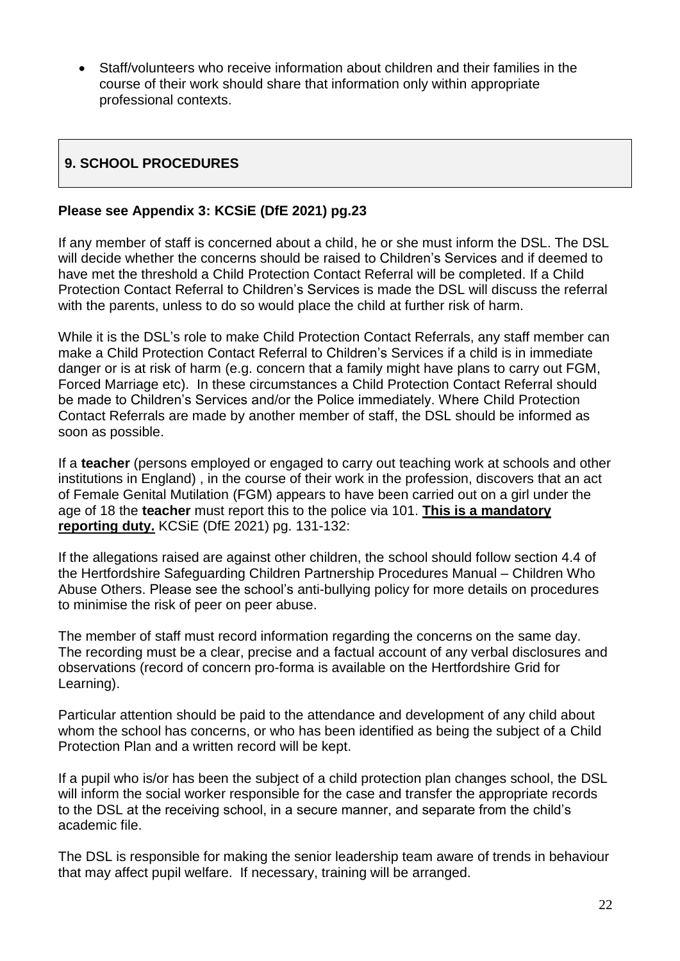Staff/volunteers who receive information about children and their families in the course of their work should share that information only within appropriate professional contexts.

#### **9. SCHOOL PROCEDURES**

#### **Please see Appendix 3: KCSiE (DfE 2021) pg.23**

If any member of staff is concerned about a child, he or she must inform the DSL. The DSL will decide whether the concerns should be raised to Children's Services and if deemed to have met the threshold a Child Protection Contact Referral will be completed. If a Child Protection Contact Referral to Children's Services is made the DSL will discuss the referral with the parents, unless to do so would place the child at further risk of harm.

While it is the DSL's role to make Child Protection Contact Referrals, any staff member can make a Child Protection Contact Referral to Children's Services if a child is in immediate danger or is at risk of harm (e.g. concern that a family might have plans to carry out FGM, Forced Marriage etc). In these circumstances a Child Protection Contact Referral should be made to Children's Services and/or the Police immediately. Where Child Protection Contact Referrals are made by another member of staff, the DSL should be informed as soon as possible.

If a **teacher** (persons employed or engaged to carry out teaching work at schools and other institutions in England) , in the course of their work in the profession, discovers that an act of Female Genital Mutilation (FGM) appears to have been carried out on a girl under the age of 18 the **teacher** must report this to the police via 101. **This is a mandatory reporting duty.** KCSiE (DfE 2021) pg. 131-132:

If the allegations raised are against other children, the school should follow section 4.4 of the Hertfordshire Safeguarding Children Partnership Procedures Manual – Children Who Abuse Others. Please see the school's anti-bullying policy for more details on procedures to minimise the risk of peer on peer abuse.

The member of staff must record information regarding the concerns on the same day. The recording must be a clear, precise and a factual account of any verbal disclosures and observations (record of concern pro-forma is available on the Hertfordshire Grid for Learning).

Particular attention should be paid to the attendance and development of any child about whom the school has concerns, or who has been identified as being the subject of a Child Protection Plan and a written record will be kept.

If a pupil who is/or has been the subject of a child protection plan changes school, the DSL will inform the social worker responsible for the case and transfer the appropriate records to the DSL at the receiving school, in a secure manner, and separate from the child's academic file.

The DSL is responsible for making the senior leadership team aware of trends in behaviour that may affect pupil welfare. If necessary, training will be arranged.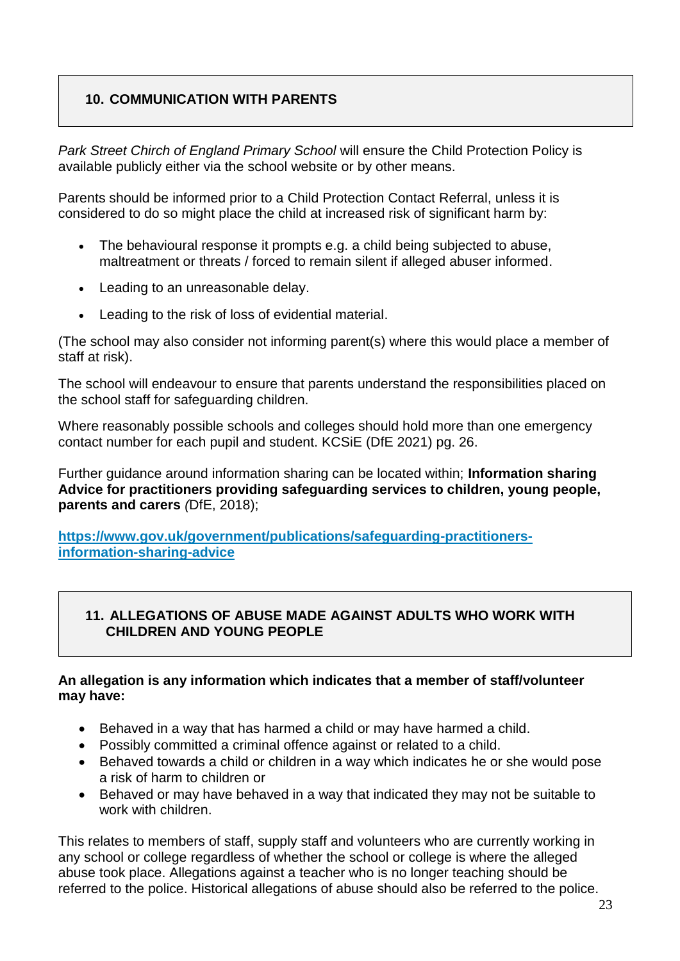#### **10. COMMUNICATION WITH PARENTS**

*Park Street Chirch of England Primary School* will ensure the Child Protection Policy is available publicly either via the school website or by other means.

Parents should be informed prior to a Child Protection Contact Referral, unless it is considered to do so might place the child at increased risk of significant harm by:

- The behavioural response it prompts e.g. a child being subjected to abuse, maltreatment or threats / forced to remain silent if alleged abuser informed.
- Leading to an unreasonable delay.
- Leading to the risk of loss of evidential material.

(The school may also consider not informing parent(s) where this would place a member of staff at risk).

The school will endeavour to ensure that parents understand the responsibilities placed on the school staff for safeguarding children.

Where reasonably possible schools and colleges should hold more than one emergency contact number for each pupil and student. KCSiE (DfE 2021) pg. 26.

Further guidance around information sharing can be located within; **Information sharing Advice for practitioners providing safeguarding services to children, young people, parents and carers** *(*DfE, 2018);

**[https://www.gov.uk/government/publications/safeguarding-practitioners](https://www.gov.uk/government/publications/safeguarding-practitioners-information-sharing-advice)[information-sharing-advice](https://www.gov.uk/government/publications/safeguarding-practitioners-information-sharing-advice)**

#### **11. ALLEGATIONS OF ABUSE MADE AGAINST ADULTS WHO WORK WITH CHILDREN AND YOUNG PEOPLE**

#### **An allegation is any information which indicates that a member of staff/volunteer may have:**

- Behaved in a way that has harmed a child or may have harmed a child.
- Possibly committed a criminal offence against or related to a child.
- Behaved towards a child or children in a way which indicates he or she would pose a risk of harm to children or
- Behaved or may have behaved in a way that indicated they may not be suitable to work with children.

This relates to members of staff, supply staff and volunteers who are currently working in any school or college regardless of whether the school or college is where the alleged abuse took place. Allegations against a teacher who is no longer teaching should be referred to the police. Historical allegations of abuse should also be referred to the police.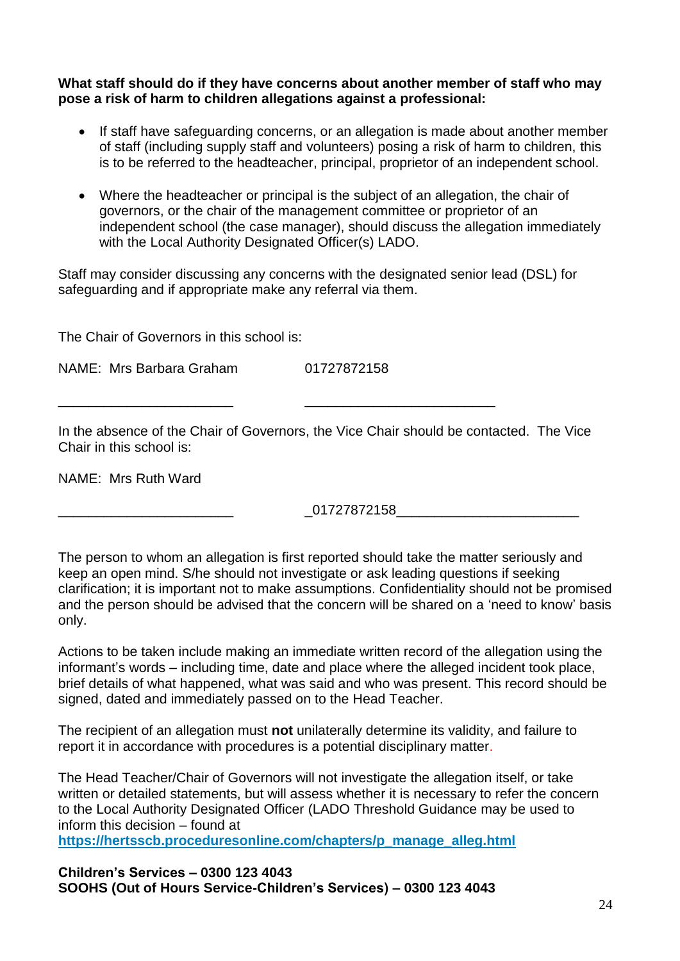**What staff should do if they have concerns about another member of staff who may pose a risk of harm to children allegations against a professional:**

- If staff have safeguarding concerns, or an allegation is made about another member of staff (including supply staff and volunteers) posing a risk of harm to children, this is to be referred to the headteacher, principal, proprietor of an independent school.
- Where the headteacher or principal is the subject of an allegation, the chair of governors, or the chair of the management committee or proprietor of an independent school (the case manager), should discuss the allegation immediately with the Local Authority Designated Officer(s) LADO.

Staff may consider discussing any concerns with the designated senior lead (DSL) for safeguarding and if appropriate make any referral via them.

The Chair of Governors in this school is:

NAME: Mrs Barbara Graham 01727872158

In the absence of the Chair of Governors, the Vice Chair should be contacted. The Vice Chair in this school is:

\_\_\_\_\_\_\_\_\_\_\_\_\_\_\_\_\_\_\_\_\_\_\_ \_\_\_\_\_\_\_\_\_\_\_\_\_\_\_\_\_\_\_\_\_\_\_\_\_

NAME: Mrs Ruth Ward

\_\_\_\_\_\_\_\_\_\_\_\_\_\_\_\_\_\_\_\_\_\_\_ \_01727872158\_\_\_\_\_\_\_\_\_\_\_\_\_\_\_\_\_\_\_\_\_\_\_\_

The person to whom an allegation is first reported should take the matter seriously and keep an open mind. S/he should not investigate or ask leading questions if seeking clarification; it is important not to make assumptions. Confidentiality should not be promised and the person should be advised that the concern will be shared on a 'need to know' basis only.

Actions to be taken include making an immediate written record of the allegation using the informant's words – including time, date and place where the alleged incident took place, brief details of what happened, what was said and who was present. This record should be signed, dated and immediately passed on to the Head Teacher.

The recipient of an allegation must **not** unilaterally determine its validity, and failure to report it in accordance with procedures is a potential disciplinary matter.

The Head Teacher/Chair of Governors will not investigate the allegation itself, or take written or detailed statements, but will assess whether it is necessary to refer the concern to the Local Authority Designated Officer (LADO Threshold Guidance may be used to inform this decision – found at

**[https://hertsscb.proceduresonline.com/chapters/p\\_manage\\_alleg.html](https://hertsscb.proceduresonline.com/chapters/p_manage_alleg.html)**

**Children's Services – 0300 123 4043 SOOHS (Out of Hours Service-Children's Services) – 0300 123 4043**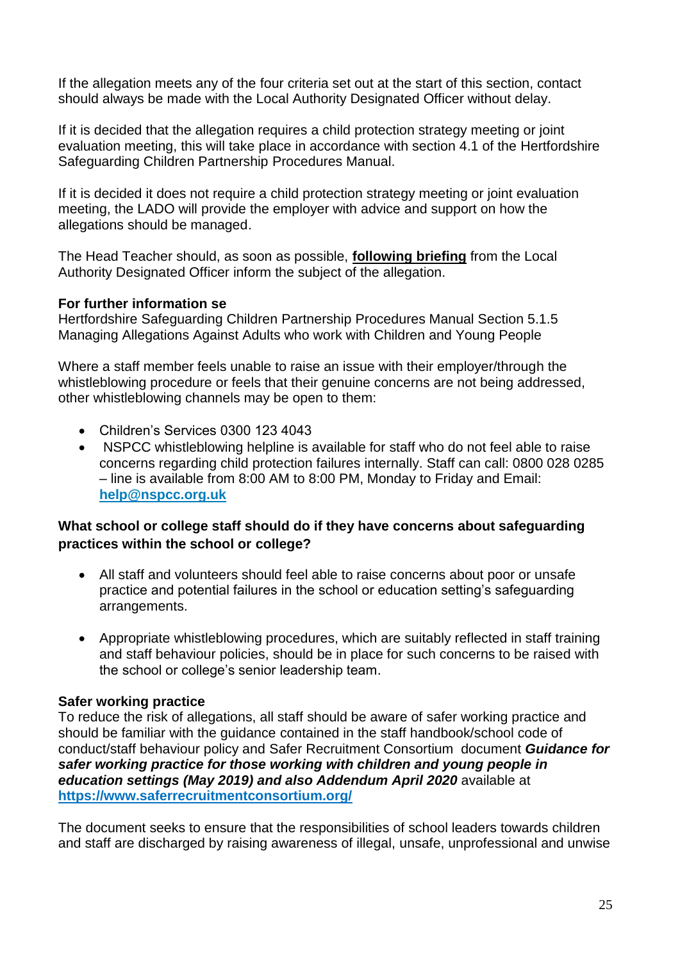If the allegation meets any of the four criteria set out at the start of this section, contact should always be made with the Local Authority Designated Officer without delay.

If it is decided that the allegation requires a child protection strategy meeting or joint evaluation meeting, this will take place in accordance with section 4.1 of the Hertfordshire Safeguarding Children Partnership Procedures Manual.

If it is decided it does not require a child protection strategy meeting or joint evaluation meeting, the LADO will provide the employer with advice and support on how the allegations should be managed.

The Head Teacher should, as soon as possible, **following briefing** from the Local Authority Designated Officer inform the subject of the allegation.

#### **For further information se**

Hertfordshire Safeguarding Children Partnership Procedures Manual Section 5.1.5 [Managing Allegations Against Adults who work with Children and Young People](http://www.proceduresonline.com/herts_scb/chapters/p_manage_alleg.html) 

Where a staff member feels unable to raise an issue with their employer/through the whistleblowing procedure or feels that their genuine concerns are not being addressed, other whistleblowing channels may be open to them:

- Children's Services 0300 123 4043
- NSPCC whistleblowing helpline is available for staff who do not feel able to raise concerns regarding child protection failures internally. Staff can call: 0800 028 0285 – line is available from 8:00 AM to 8:00 PM, Monday to Friday and Email: **[help@nspcc.org.uk](mailto:help@nspcc.org.uk)**

#### **What school or college staff should do if they have concerns about safeguarding practices within the school or college?**

- All staff and volunteers should feel able to raise concerns about poor or unsafe practice and potential failures in the school or education setting's safeguarding arrangements.
- Appropriate whistleblowing procedures, which are suitably reflected in staff training and staff behaviour policies, should be in place for such concerns to be raised with the school or college's senior leadership team.

#### **Safer working practice**

To reduce the risk of allegations, all staff should be aware of safer working practice and should be familiar with the guidance contained in the staff handbook/school code of conduct/staff behaviour policy and Safer Recruitment Consortium document *Guidance for safer working practice for those working with children and young people in education settings (May 2019) and also Addendum April 2020* available at **<https://www.saferrecruitmentconsortium.org/>**

The document seeks to ensure that the responsibilities of school leaders towards children and staff are discharged by raising awareness of illegal, unsafe, unprofessional and unwise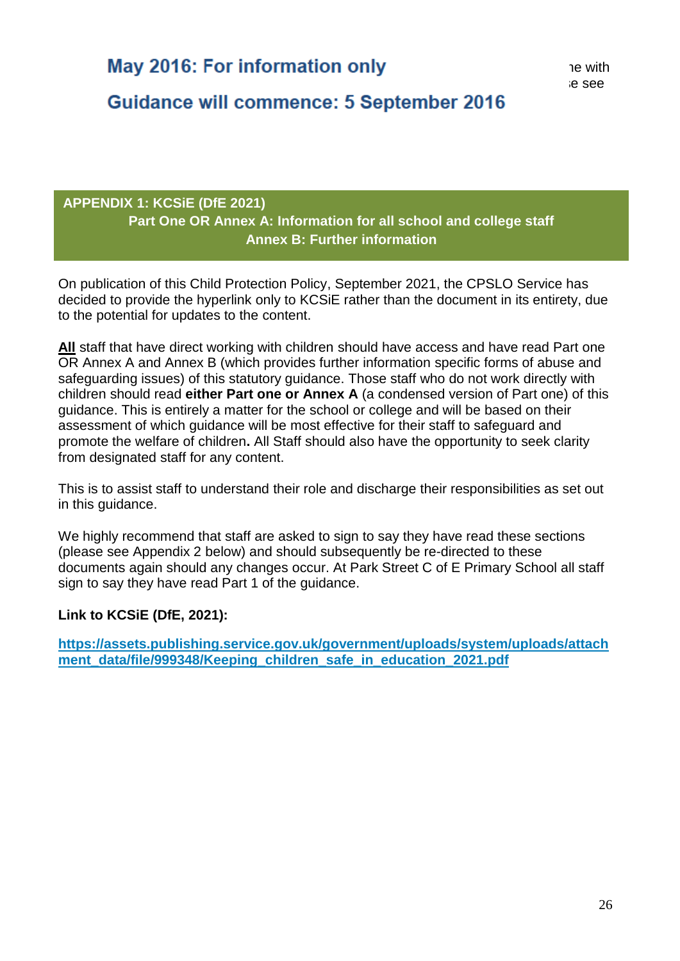Guidance will commence: 5 September 2016

#### **APPENDIX 1: KCSiE (DfE 2021) Part One OR Annex A: Information for all school and college staff Annex B: Further information**

On publication of this Child Protection Policy, September 2021, the CPSLO Service has decided to provide the hyperlink only to KCSiE rather than the document in its entirety, due to the potential for updates to the content.

**All** staff that have direct working with children should have access and have read Part one OR Annex A and Annex B (which provides further information specific forms of abuse and safeguarding issues) of this statutory guidance. Those staff who do not work directly with children should read **either Part one or Annex A** (a condensed version of Part one) of this guidance. This is entirely a matter for the school or college and will be based on their assessment of which guidance will be most effective for their staff to safeguard and promote the welfare of children**.** All Staff should also have the opportunity to seek clarity from designated staff for any content.

This is to assist staff to understand their role and discharge their responsibilities as set out in this guidance.

We highly recommend that staff are asked to sign to say they have read these sections (please see Appendix 2 below) and should subsequently be re-directed to these documents again should any changes occur. At Park Street C of E Primary School all staff sign to say they have read Part 1 of the guidance.

#### **Link to KCSiE (DfE, 2021):**

**[https://assets.publishing.service.gov.uk/government/uploads/system/uploads/attach](https://assets.publishing.service.gov.uk/government/uploads/system/uploads/attachment_data/file/999348/Keeping_children_safe_in_education_2021.pdf)** ment data/file/999348/Keeping children safe in education 2021.pdf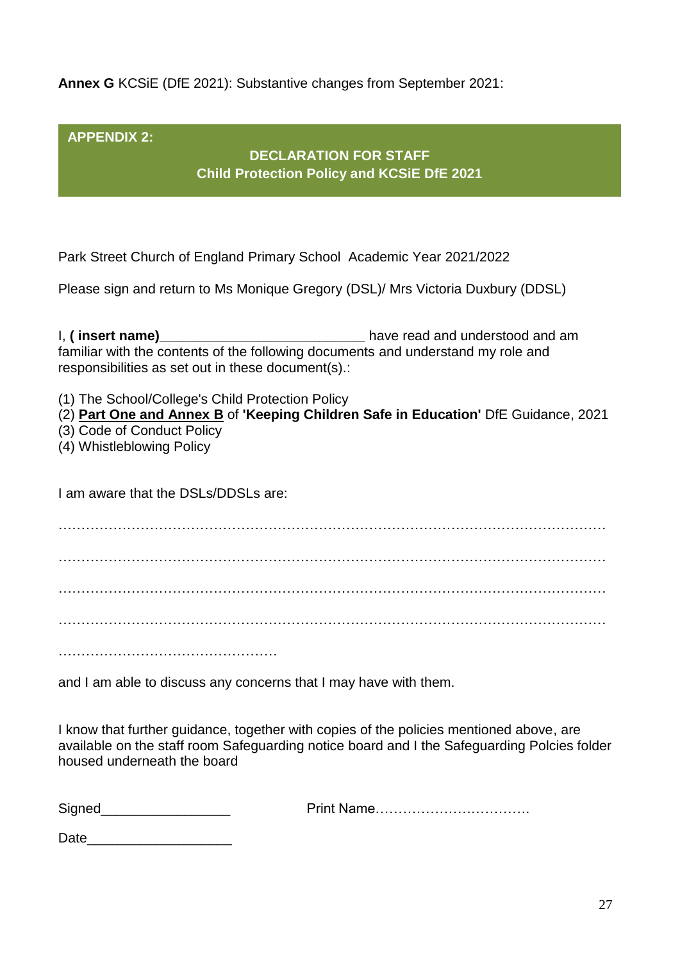**Annex G** KCSiE (DfE 2021): Substantive changes from September 2021:

**APPENDIX 2:** 

**DECLARATION FOR STAFF Child Protection Policy and KCSiE DfE 2021**

Park Street Church of England Primary School Academic Year 2021/2022

Please sign and return to Ms Monique Gregory (DSL)/ Mrs Victoria Duxbury (DDSL)

I, **( insert name)\_\_\_\_\_\_\_\_\_\_\_\_\_\_\_\_\_\_\_\_\_\_\_\_\_\_\_** have read and understood and am familiar with the contents of the following documents and understand my role and responsibilities as set out in these document(s).:

(1) The School/College's Child Protection Policy

(2) **Part One and Annex B** of **'Keeping Children Safe in Education'** DfE Guidance, 2021

- (3) Code of Conduct Policy
- (4) Whistleblowing Policy

I am aware that the DSLs/DDSLs are:

………………………………………………………………………………………………………… ………………………………………………………………………………………………………… ………………………………………………………………………………………………………… ………………………………………………………………………………………………………… …………………………………………

and I am able to discuss any concerns that I may have with them.

I know that further guidance, together with copies of the policies mentioned above, are available on the staff room Safeguarding notice board and I the Safeguarding Polcies folder housed underneath the board

Signed\_\_\_\_\_\_\_\_\_\_\_\_\_\_\_\_\_ Print Name…………………………….

Date\_\_\_\_\_\_\_\_\_\_\_\_\_\_\_\_\_\_\_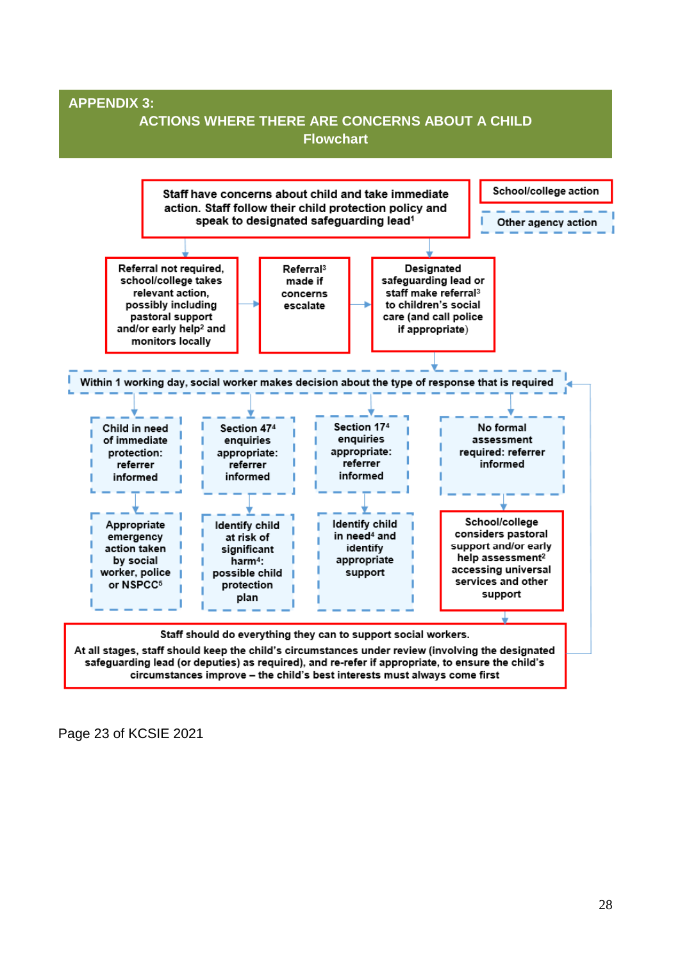

Page 23 of KCSIE 2021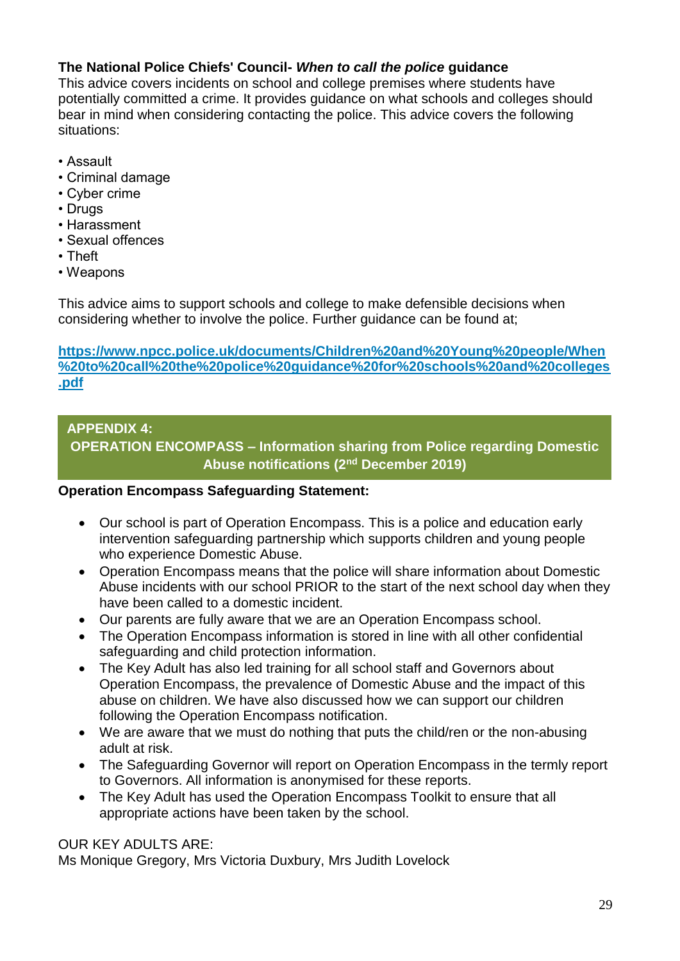#### **The National Police Chiefs' Council-** *When to call the police* **guidance**

This advice covers incidents on school and college premises where students have potentially committed a crime. It provides guidance on what schools and colleges should bear in mind when considering contacting the police. This advice covers the following situations:

- Assault
- Criminal damage
- Cyber crime
- Drugs
- Harassment
- Sexual offences
- Theft
- Weapons

This advice aims to support schools and college to make defensible decisions when considering whether to involve the police. Further guidance can be found at;

**[https://www.npcc.police.uk/documents/Children%20and%20Young%20people/When](https://www.npcc.police.uk/documents/Children%20and%20Young%20people/When%20to%20call%20the%20police%20guidance%20for%20schools%20and%20colleges.pdf) [%20to%20call%20the%20police%20guidance%20for%20schools%20and%20colleges](https://www.npcc.police.uk/documents/Children%20and%20Young%20people/When%20to%20call%20the%20police%20guidance%20for%20schools%20and%20colleges.pdf) [.pdf](https://www.npcc.police.uk/documents/Children%20and%20Young%20people/When%20to%20call%20the%20police%20guidance%20for%20schools%20and%20colleges.pdf)**

#### **APPENDIX 4:**

**OPERATION ENCOMPASS – Information sharing from Police regarding Domestic Abuse notifications (2nd December 2019)**

#### **Operation Encompass Safeguarding Statement:**

- Our school is part of Operation Encompass. This is a police and education early intervention safeguarding partnership which supports children and young people who experience Domestic Abuse.
- Operation Encompass means that the police will share information about Domestic Abuse incidents with our school PRIOR to the start of the next school day when they have been called to a domestic incident.
- Our parents are fully aware that we are an Operation Encompass school.
- The Operation Encompass information is stored in line with all other confidential safeguarding and child protection information.
- The Key Adult has also led training for all school staff and Governors about Operation Encompass, the prevalence of Domestic Abuse and the impact of this abuse on children. We have also discussed how we can support our children following the Operation Encompass notification.
- We are aware that we must do nothing that puts the child/ren or the non-abusing adult at risk.
- The Safeguarding Governor will report on Operation Encompass in the termly report to Governors. All information is anonymised for these reports.
- The Key Adult has used the Operation Encompass Toolkit to ensure that all appropriate actions have been taken by the school.

#### OUR KEY ADULTS ARE:

Ms Monique Gregory, Mrs Victoria Duxbury, Mrs Judith Lovelock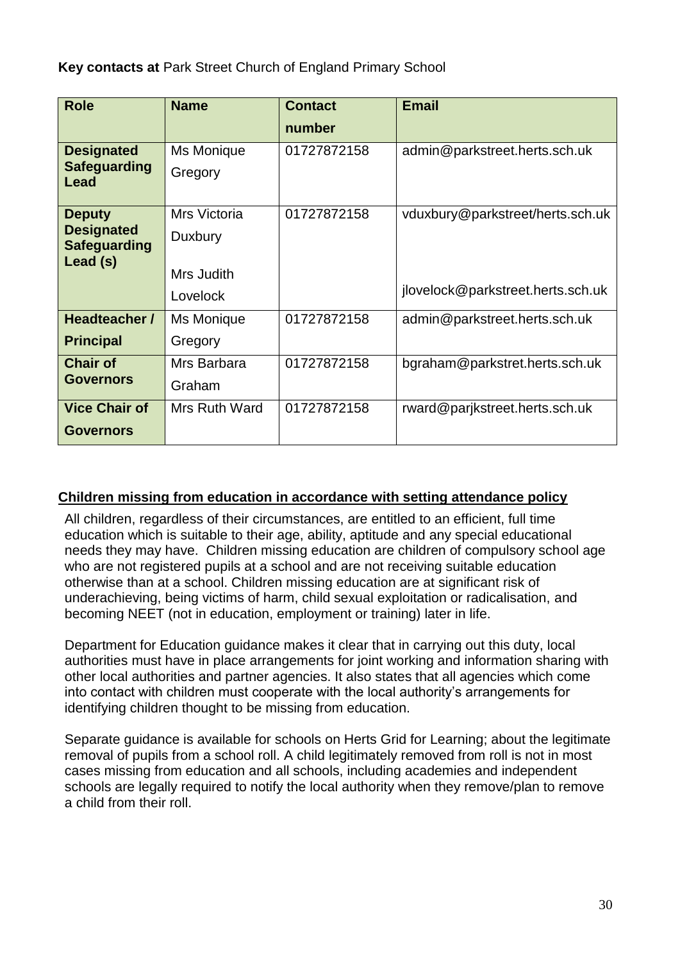**Key contacts at** Park Street Church of England Primary School

| <b>Role</b>                              | <b>Name</b>   | <b>Contact</b> | <b>Email</b>                      |
|------------------------------------------|---------------|----------------|-----------------------------------|
|                                          |               | number         |                                   |
| <b>Designated</b>                        | Ms Monique    | 01727872158    | admin@parkstreet.herts.sch.uk     |
| <b>Safeguarding</b><br>Lead              | Gregory       |                |                                   |
| <b>Deputy</b>                            | Mrs Victoria  | 01727872158    | vduxbury@parkstreet/herts.sch.uk  |
| <b>Designated</b><br><b>Safeguarding</b> | Duxbury       |                |                                   |
| Lead (s)                                 |               |                |                                   |
|                                          | Mrs Judith    |                | jlovelock@parkstreet.herts.sch.uk |
|                                          | Lovelock      |                |                                   |
| Headteacher /                            | Ms Monique    | 01727872158    | admin@parkstreet.herts.sch.uk     |
| <b>Principal</b>                         | Gregory       |                |                                   |
| <b>Chair of</b>                          | Mrs Barbara   | 01727872158    | bgraham@parkstret.herts.sch.uk    |
| <b>Governors</b>                         | Graham        |                |                                   |
| <b>Vice Chair of</b>                     | Mrs Ruth Ward | 01727872158    | rward@parjkstreet.herts.sch.uk    |
| <b>Governors</b>                         |               |                |                                   |

#### **Children missing from education in accordance with setting attendance policy**

All children, regardless of their circumstances, are entitled to an efficient, full time education which is suitable to their age, ability, aptitude and any special educational needs they may have. Children missing education are children of compulsory school age who are not registered pupils at a school and are not receiving suitable education otherwise than at a school. Children missing education are at significant risk of underachieving, being victims of harm, child sexual exploitation or radicalisation, and becoming NEET (not in education, employment or training) later in life.

Department for Education guidance makes it clear that in carrying out this duty, local authorities must have in place arrangements for joint working and information sharing with other local authorities and partner agencies. It also states that all agencies which come into contact with children must cooperate with the local authority's arrangements for identifying children thought to be missing from education.

Separate guidance is available for schools on Herts Grid for Learning; about the legitimate removal of pupils from a school roll. A child legitimately removed from roll is not in most cases missing from education and all schools, including academies and independent schools are legally required to notify the local authority when they remove/plan to remove a child from their roll.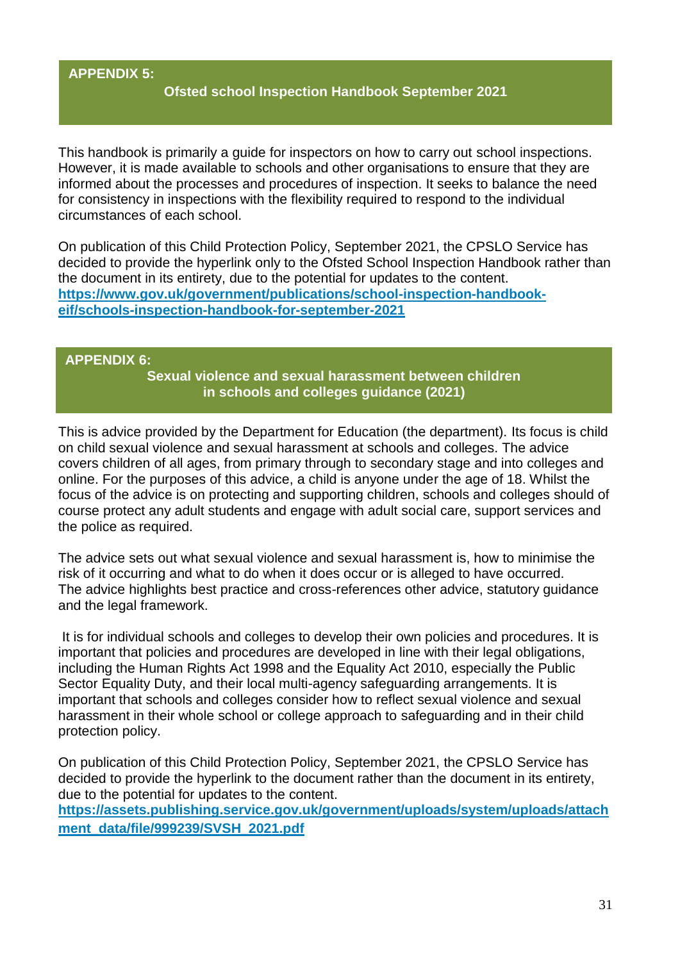#### **APPENDIX 5:**

#### **Ofsted school Inspection Handbook September 2021**

This handbook is primarily a guide for inspectors on how to carry out school inspections. However, it is made available to schools and other organisations to ensure that they are informed about the processes and procedures of inspection. It seeks to balance the need for consistency in inspections with the flexibility required to respond to the individual circumstances of each school.

On publication of this Child Protection Policy, September 2021, the CPSLO Service has decided to provide the hyperlink only to the Ofsted School Inspection Handbook rather than the document in its entirety, due to the potential for updates to the content. **[https://www.gov.uk/government/publications/school-inspection-handbook](https://www.gov.uk/government/publications/school-inspection-handbook-eif/schools-inspection-handbook-for-september-2021)[eif/schools-inspection-handbook-for-september-2021](https://www.gov.uk/government/publications/school-inspection-handbook-eif/schools-inspection-handbook-for-september-2021)**

#### **APPENDIX 6:**

**Sexual violence and sexual harassment between children in schools and colleges guidance (2021)**

This is advice provided by the Department for Education (the department). Its focus is child on child sexual violence and sexual harassment at schools and colleges. The advice covers children of all ages, from primary through to secondary stage and into colleges and online. For the purposes of this advice, a child is anyone under the age of 18. Whilst the focus of the advice is on protecting and supporting children, schools and colleges should of course protect any adult students and engage with adult social care, support services and the police as required.

The advice sets out what sexual violence and sexual harassment is, how to minimise the risk of it occurring and what to do when it does occur or is alleged to have occurred. The advice highlights best practice and cross-references other advice, statutory guidance and the legal framework.

It is for individual schools and colleges to develop their own policies and procedures. It is important that policies and procedures are developed in line with their legal obligations, including the Human Rights Act 1998 and the Equality Act 2010, especially the Public Sector Equality Duty, and their local multi-agency safeguarding arrangements. It is important that schools and colleges consider how to reflect sexual violence and sexual harassment in their whole school or college approach to safeguarding and in their child protection policy.

On publication of this Child Protection Policy, September 2021, the CPSLO Service has decided to provide the hyperlink to the document rather than the document in its entirety, due to the potential for updates to the content. **[https://assets.publishing.service.gov.uk/government/uploads/system/uploads/attach](https://assets.publishing.service.gov.uk/government/uploads/system/uploads/attachment_data/file/999239/SVSH_2021.pdf) [ment\\_data/file/999239/SVSH\\_2021.pdf](https://assets.publishing.service.gov.uk/government/uploads/system/uploads/attachment_data/file/999239/SVSH_2021.pdf)**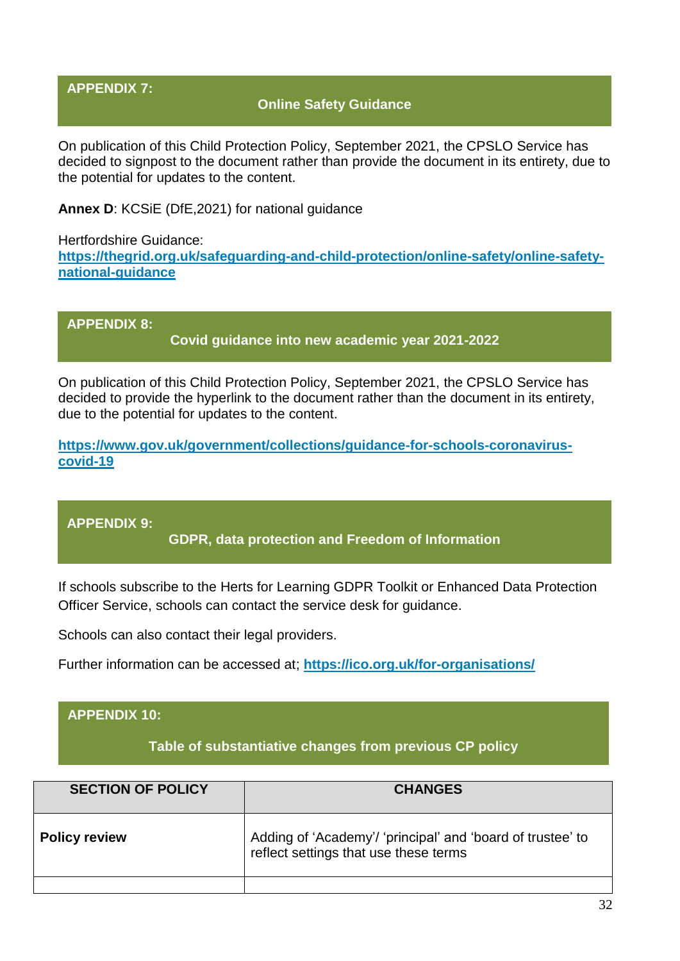#### **APPENDIX 7:**

#### **Online Safety Guidance**

On publication of this Child Protection Policy, September 2021, the CPSLO Service has decided to signpost to the document rather than provide the document in its entirety, due to the potential for updates to the content.

**Annex D**: KCSiE (DfE,2021) for national guidance

Hertfordshire Guidance: **[https://thegrid.org.uk/safeguarding-and-child-protection/online-safety/online-safety](https://thegrid.org.uk/safeguarding-and-child-protection/online-safety/online-safety-national-guidance)[national-guidance](https://thegrid.org.uk/safeguarding-and-child-protection/online-safety/online-safety-national-guidance)**

**APPENDIX 8: Covid guidance into new academic year 2021-2022**

On publication of this Child Protection Policy, September 2021, the CPSLO Service has decided to provide the hyperlink to the document rather than the document in its entirety, due to the potential for updates to the content.

**[https://www.gov.uk/government/collections/guidance-for-schools-coronavirus](https://www.gov.uk/government/collections/guidance-for-schools-coronavirus-covid-19)[covid-19](https://www.gov.uk/government/collections/guidance-for-schools-coronavirus-covid-19)**

**APPENDIX 9:**

**GDPR, data protection and Freedom of Information**

If schools subscribe to the Herts for Learning GDPR Toolkit or Enhanced Data Protection Officer Service, schools can contact the service desk for guidance.

Schools can also contact their legal providers.

Further information can be accessed at; **<https://ico.org.uk/for-organisations/>**

#### **APPENDIX 10:**

**Table of substantiative changes from previous CP policy**

| <b>SECTION OF POLICY</b> | <b>CHANGES</b>                                                                                      |
|--------------------------|-----------------------------------------------------------------------------------------------------|
| <b>Policy review</b>     | Adding of 'Academy'/ 'principal' and 'board of trustee' to<br>reflect settings that use these terms |
|                          |                                                                                                     |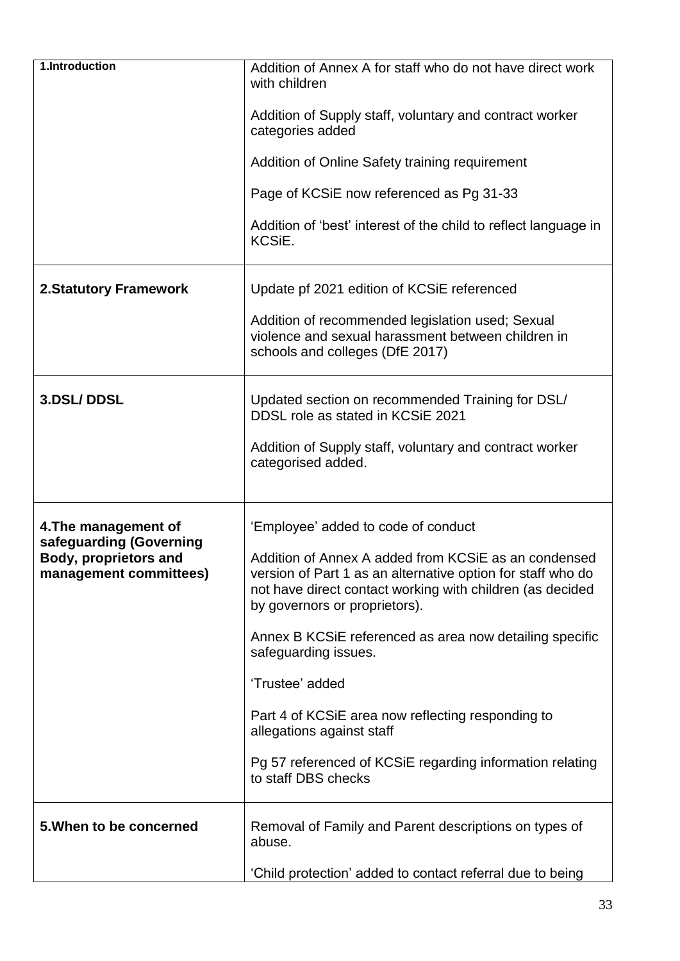| 1.Introduction                                  | Addition of Annex A for staff who do not have direct work<br>with children                                                                                                                                        |
|-------------------------------------------------|-------------------------------------------------------------------------------------------------------------------------------------------------------------------------------------------------------------------|
|                                                 | Addition of Supply staff, voluntary and contract worker<br>categories added                                                                                                                                       |
|                                                 | Addition of Online Safety training requirement                                                                                                                                                                    |
|                                                 | Page of KCSiE now referenced as Pg 31-33                                                                                                                                                                          |
|                                                 | Addition of 'best' interest of the child to reflect language in<br>KCSiE.                                                                                                                                         |
| <b>2.Statutory Framework</b>                    | Update pf 2021 edition of KCSiE referenced                                                                                                                                                                        |
|                                                 | Addition of recommended legislation used; Sexual<br>violence and sexual harassment between children in<br>schools and colleges (DfE 2017)                                                                         |
| 3.DSL/DDSL                                      | Updated section on recommended Training for DSL/<br>DDSL role as stated in KCSiE 2021                                                                                                                             |
|                                                 | Addition of Supply staff, voluntary and contract worker<br>categorised added.                                                                                                                                     |
| 4. The management of<br>safeguarding (Governing | 'Employee' added to code of conduct                                                                                                                                                                               |
| Body, proprietors and<br>management committees) | Addition of Annex A added from KCSIE as an condensed<br>version of Part 1 as an alternative option for staff who do<br>not have direct contact working with children (as decided<br>by governors or proprietors). |
|                                                 | Annex B KCSIE referenced as area now detailing specific<br>safeguarding issues.                                                                                                                                   |
|                                                 | 'Trustee' added                                                                                                                                                                                                   |
|                                                 | Part 4 of KCSIE area now reflecting responding to<br>allegations against staff                                                                                                                                    |
|                                                 | Pg 57 referenced of KCSiE regarding information relating<br>to staff DBS checks                                                                                                                                   |
| 5. When to be concerned                         | Removal of Family and Parent descriptions on types of<br>abuse.                                                                                                                                                   |
|                                                 | 'Child protection' added to contact referral due to being                                                                                                                                                         |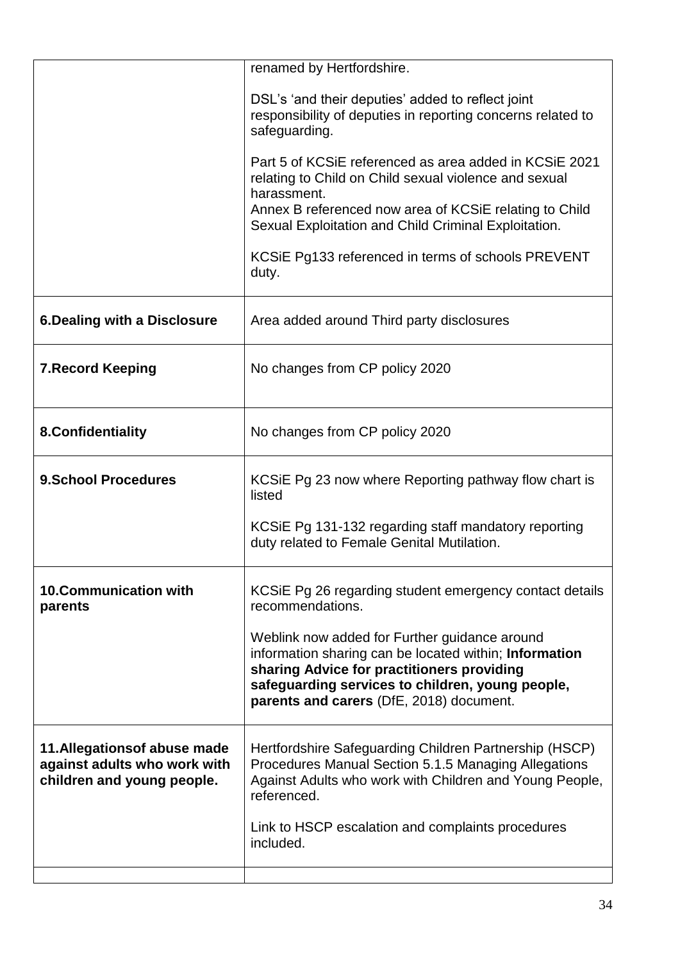|                                                                                             | renamed by Hertfordshire.                                                                                                                                                                                                                             |
|---------------------------------------------------------------------------------------------|-------------------------------------------------------------------------------------------------------------------------------------------------------------------------------------------------------------------------------------------------------|
|                                                                                             | DSL's 'and their deputies' added to reflect joint<br>responsibility of deputies in reporting concerns related to<br>safeguarding.                                                                                                                     |
|                                                                                             | Part 5 of KCSiE referenced as area added in KCSiE 2021<br>relating to Child on Child sexual violence and sexual<br>harassment.                                                                                                                        |
|                                                                                             | Annex B referenced now area of KCSIE relating to Child<br>Sexual Exploitation and Child Criminal Exploitation.                                                                                                                                        |
|                                                                                             | KCSIE Pg133 referenced in terms of schools PREVENT<br>duty.                                                                                                                                                                                           |
| <b>6.Dealing with a Disclosure</b>                                                          | Area added around Third party disclosures                                                                                                                                                                                                             |
| <b>7. Record Keeping</b>                                                                    | No changes from CP policy 2020                                                                                                                                                                                                                        |
| 8. Confidentiality                                                                          | No changes from CP policy 2020                                                                                                                                                                                                                        |
| <b>9.School Procedures</b>                                                                  | KCSIE Pg 23 now where Reporting pathway flow chart is<br>listed                                                                                                                                                                                       |
|                                                                                             | KCSIE Pg 131-132 regarding staff mandatory reporting<br>duty related to Female Genital Mutilation.                                                                                                                                                    |
| <b>10.Communication with</b><br>parents                                                     | KCSIE Pg 26 regarding student emergency contact details<br>recommendations.                                                                                                                                                                           |
|                                                                                             | Weblink now added for Further guidance around<br>information sharing can be located within; Information<br>sharing Advice for practitioners providing<br>safeguarding services to children, young people,<br>parents and carers (DfE, 2018) document. |
| 11. Allegations of abuse made<br>against adults who work with<br>children and young people. | Hertfordshire Safeguarding Children Partnership (HSCP)<br>Procedures Manual Section 5.1.5 Managing Allegations<br>Against Adults who work with Children and Young People,<br>referenced.                                                              |
|                                                                                             | Link to HSCP escalation and complaints procedures<br>included.                                                                                                                                                                                        |
|                                                                                             |                                                                                                                                                                                                                                                       |